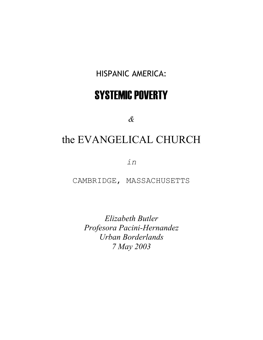HISPANIC AMERICA:

# SYSTEMIC POVERTY

*&* 

# the EVANGELICAL CHURCH

*in* 

CAMBRIDGE, MASSACHUSETTS

*Elizabeth Butler Profesora Pacini-Hernandez Urban Borderlands 7 May 2003*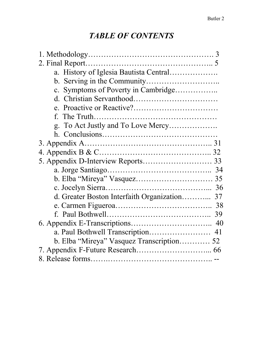# *TABLE OF CONTENTS*

| a. History of Iglesia Bautista Central       |
|----------------------------------------------|
|                                              |
| c. Symptoms of Poverty in Cambridge          |
|                                              |
|                                              |
|                                              |
| g. To Act Justly and To Love Mercy           |
|                                              |
|                                              |
|                                              |
|                                              |
|                                              |
|                                              |
|                                              |
| d. Greater Boston Interfaith Organization 37 |
|                                              |
|                                              |
|                                              |
|                                              |
| b. Elba "Mireya" Vasquez Transcription 52    |
|                                              |
|                                              |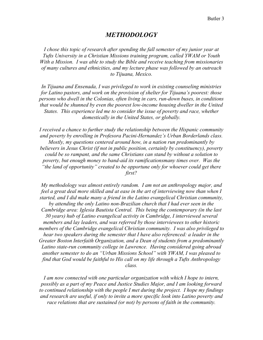### *METHODOLOGY*

*I chose this topic of research after spending the fall semester of my junior year at Tufts University in a Christian Missions training program, called YWAM or Youth With a Mission. I was able to study the Bible and receive teaching from missionaries of many cultures and ethnicities, and my lecture phase was followed by an outreach to Tijuana, Mexico.* 

*In Tijuana and Ensenada, I was privileged to work in existing counseling ministries for Latino pastors, and work on the provision of shelter for Tijuana's poorest: those persons who dwell in the Colonias, often living in cars, run-down buses, in conditions that would be shunned by even the poorest low-income housing dweller in the United States. This experience led me to consider the issue of poverty and race, whether domestically in the United States, or globally.* 

*I received a chance to further study the relationship between the Hispanic community and poverty by enrolling in Profesora Pacini-Hernandez's Urban Borderlands class. Mostly, my questions centered around how, in a nation run predominantly by believers in Jesus Christ (if not in public position, certainly by constituency), poverty could be so rampant, and the same Christians can stand by without a solution to poverty, but enough money to band-aid its ramificationsmany times over. Was the "the land of opportunity" created to be opportune only for whoever could get there first?* 

*My methodology was almost entirely random. I am not an anthropology major, and feel a great deal more skilled and at ease in the art of interviewing now than when I started, and I did make many a friend in the Latino evangelical Christian community, by attending the only Latino non-Brazilian church that I had ever seen in the Cambridge area: Iglesia Bautista Central. This being the contemporary (in the last 30 years) hub of Latino evangelical activity in Cambridge, I interviewed several members and lay leaders, and was referred by those interviewees to other historic members of the Cambridge evangelical Christian community. I was also privileged to hear two speakers during the semester that I have also referenced: a leader in the Greater Boston Interfaith Organization, and a Dean of students from a predominantly Latino state-run community college in Lawrence. Having considered going abroad another semester to do an "Urban Missions School" with YWAM, I was pleased to find that God would be faithful to His call on my life through a Tufts Anthropology class.* 

*I am now connected with one particular organization with which I hope to intern, possibly as a part of my Peace and Justice Studies Major, and I am looking forward to continued relationship with the people I met during the project. I hope my findings and research are useful, if only to invite a more specific look into Latino poverty and race relations that are sustained (or not) by persons of faith in the community.*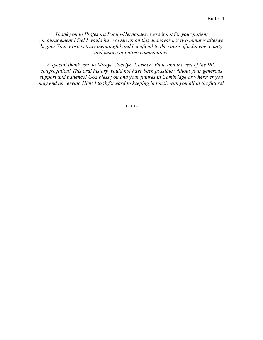*Thank you to Profesora Pacini-Hernandez; were it not for your patient encouragement I feel I would have given up on this endeavor not two minutes afterwe began! Your work is truly meaningful and beneficial to the cause of achieving equity and justice in Latino communities.* 

*A special thank you to Mireya, Jocelyn, Carmen, Paul, and the rest of the IBC congregation! This oral history would not have been possible without your generous support and patience! God bless you and your futures in Cambridge or wherever you may end up serving Him! I look forward to keeping in touch with you all in the future!* 

*\*\*\*\*\**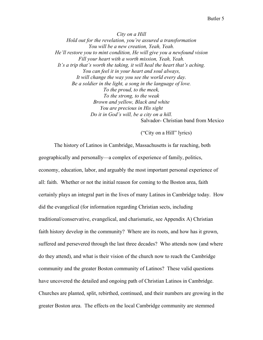*City on a Hill Hold out for the revelation, you're assured a transformation You will be a new creation, Yeah, Yeah. He'll restore you to mint condition, He will give you a newfound vision Fill your heart with a worth mission, Yeah, Yeah. It's a trip that's worth the taking, it will heal the heart that's aching. You can feel it in your heart and soul always, It will change the way you see the world every day. Be a soldier in the light, a song in the language of love. To the proud, to the meek, To the strong, to the weak Brown and yellow, Black and white You are precious in His sight Do it in God's will, be a city on a hill.*  Salvador- Christian band from Mexico

("City on a Hill" lyrics)

The history of Latinos in Cambridge, Massachusetts is far reaching, both geographically and personally—a complex of experience of family, politics, economy, education, labor, and arguably the most important personal experience of all: faith. Whether or not the initial reason for coming to the Boston area, faith certainly plays an integral part in the lives of many Latinos in Cambridge today. How did the evangelical (for information regarding Christian sects, including traditional/conservative, evangelical, and charismatic, see Appendix A) Christian faith history develop in the community? Where are its roots, and how has it grown, suffered and persevered through the last three decades? Who attends now (and where do they attend), and what is their vision of the church now to reach the Cambridge community and the greater Boston community of Latinos? These valid questions have uncovered the detailed and ongoing path of Christian Latinos in Cambridge. Churches are planted, split, rebirthed, continued, and their numbers are growing in the greater Boston area. The effects on the local Cambridge community are stemmed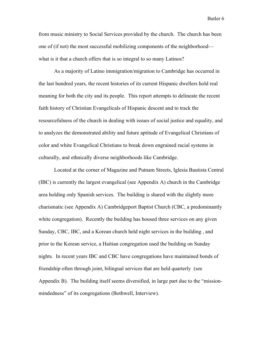from music ministry to Social Services provided by the church. The church has been one of (if not) the most successful mobilizing components of the neighborhood what is it that a church offers that is so integral to so many Latinos?

 As a majority of Latino immigration/migration to Cambridge has occurred in the last hundred years, the recent histories of its current Hispanic dwellers hold real meaning for both the city and its people. This report attempts to delineate the recent faith history of Christian Evangelicals of Hispanic descent and to track the resourcefulness of the church in dealing with issues of social justice and equality, and to analyzes the demonstrated ability and future aptitude of Evangelical Christians of color and white Evangelical Christians to break down engrained racial systems in culturally, and ethnically diverse neighborhoods like Cambridge.

 Located at the corner of Magazine and Putnam Streets, Iglesia Bautista Central (IBC) is currently the largest evangelical (see Appendix A) church in the Cambridge area holding only Spanish services. The building is shared with the slightly more charismatic (see Appendix A) Cambridgeport Baptist Church (CBC, a predominantly white congregation). Recently the building has housed three services on any given Sunday, CBC, IBC, and a Korean church held night services in the building , and prior to the Korean service, a Haitian congregation used the building on Sunday nights. In recent years IBC and CBC have congregations have maintained bonds of friendship often through joint, bilingual services that are held quarterly (see Appendix B). The building itself seems diversified, in large part due to the "missionmindedness" of its congregations (Bothwell, Interview).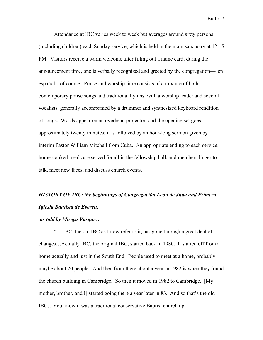Attendance at IBC varies week to week but averages around sixty persons (including children) each Sunday service, which is held in the main sanctuary at 12:15 PM. Visitors receive a warm welcome after filling out a name card; during the announcement time, one is verbally recognized and greeted by the congregation—"en español", of course. Praise and worship time consists of a mixture of both contemporary praise songs and traditional hymns, with a worship leader and several vocalists, generally accompanied by a drummer and synthesized keyboard rendition of songs. Words appear on an overhead projector, and the opening set goes approximately twenty minutes; it is followed by an hour-long sermon given by interim Pastor William Mitchell from Cuba. An appropriate ending to each service, home-cooked meals are served for all in the fellowship hall, and members linger to talk, meet new faces, and discuss church events.

# *HISTORY OF IBC: the beginnings of Congregación Leon de Juda and Primera Iglesia Bautista de Everett,*

#### *as told by Mireya Vasquez:*

 "… IBC, the old IBC as I now refer to it, has gone through a great deal of changes…Actually IBC, the original IBC, started back in 1980. It started off from a home actually and just in the South End. People used to meet at a home, probably maybe about 20 people. And then from there about a year in 1982 is when they found the church building in Cambridge. So then it moved in 1982 to Cambridge. [My mother, brother, and I] started going there a year later in 83. And so that's the old IBC…You know it was a traditional conservative Baptist church up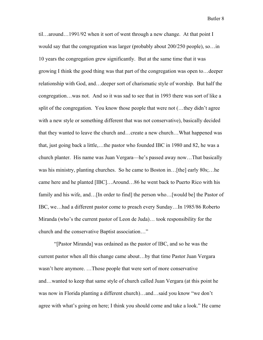til…around…1991/92 when it sort of went through a new change. At that point I would say that the congregation was larger (probably about 200/250 people), so…in 10 years the congregation grew significantly. But at the same time that it was growing I think the good thing was that part of the congregation was open to…deeper relationship with God, and…deeper sort of charismatic style of worship. But half the congregation…was not. And so it was sad to see that in 1993 there was sort of like a split of the congregation. You know those people that were not (…they didn't agree with a new style or something different that was not conservative), basically decided that they wanted to leave the church and…create a new church…What happened was that, just going back a little,…the pastor who founded IBC in 1980 and 82, he was a church planter. His name was Juan Vergara—he's passed away now…That basically was his ministry, planting churches. So he came to Boston in... [the] early 80s;...he came here and he planted [IBC]…Around…86 he went back to Puerto Rico with his family and his wife, and... [In order to find] the person who... [would be] the Pastor of IBC, we…had a different pastor come to preach every Sunday…In 1985/86 Roberto Miranda (who's the current pastor of Leon de Juda)… took responsibility for the church and the conservative Baptist association…"

 "[Pastor Miranda] was ordained as the pastor of IBC, and so he was the current pastor when all this change came about…by that time Pastor Juan Vergara wasn't here anymore. …Those people that were sort of more conservative and…wanted to keep that same style of church called Juan Vergara (at this point he was now in Florida planting a different church)…and…said you know "we don't agree with what's going on here; I think you should come and take a look." He came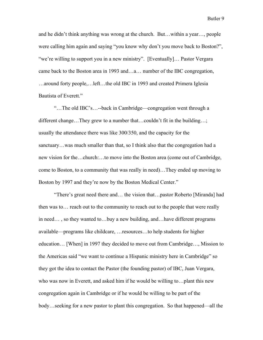and he didn't think anything was wrong at the church. But…within a year…, people were calling him again and saying "you know why don't you move back to Boston?", "we're willing to support you in a new ministry". [Eventually]… Pastor Vergara came back to the Boston area in 1993 and…a… number of the IBC congregation, …around forty people,…left…the old IBC in 1993 and created Primera Iglesia Bautista of Everett."

 "…The old IBC's…--back in Cambridge—congregation went through a different change…They grew to a number that…couldn't fit in the building…; usually the attendance there was like 300/350, and the capacity for the sanctuary…was much smaller than that, so I think also that the congregation had a new vision for the…church:…to move into the Boston area (come out of Cambridge, come to Boston, to a community that was really in need)…They ended up moving to Boston by 1997 and they're now by the Boston Medical Center."

 "There's great need there and… the vision that…pastor Roberto [Miranda] had then was to… reach out to the community to reach out to the people that were really in need… , so they wanted to…buy a new building, and…have different programs available—programs like childcare, …resources…to help students for higher education… [When] in 1997 they decided to move out from Cambridge…, Mission to the Americas said "we want to continue a Hispanic ministry here in Cambridge" so they got the idea to contact the Pastor (the founding pastor) of IBC, Juan Vergara, who was now in Everett, and asked him if he would be willing to…plant this new congregation again in Cambridge or if he would be willing to be part of the body…seeking for a new pastor to plant this congregation. So that happened—all the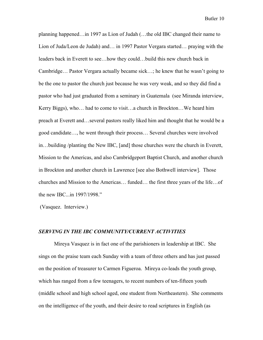planning happened…in 1997 as Lion of Judah (…the old IBC changed their name to Lion of Juda/Leon de Judah) and… in 1997 Pastor Vergara started… praying with the leaders back in Everett to see…how they could…build this new church back in Cambridge… Pastor Vergara actually became sick…; he knew that he wasn't going to be the one to pastor the church just because he was very weak, and so they did find a pastor who had just graduated from a seminary in Guatemala (see Miranda interview, Kerry Biggs), who… had to come to visit…a church in Brockton…We heard him preach at Everett and…several pastors really liked him and thought that he would be a good candidate…, he went through their process… Several churches were involved in…building /planting the New IBC, [and] those churches were the church in Everett, Mission to the Americas, and also Cambridgeport Baptist Church, and another church in Brockton and another church in Lawrence [see also Bothwell interview]. Those churches and Mission to the Americas… funded… the first three years of the life…of the new IBC...in 1997/1998."

(Vasquez. Interview.)

#### *SERVING IN THE IBC COMMUNITY/CURRENT ACTIVITIES*

 Mireya Vasquez is in fact one of the parishioners in leadership at IBC. She sings on the praise team each Sunday with a team of three others and has just passed on the position of treasurer to Carmen Figueroa. Mireya co-leads the youth group, which has ranged from a few teenagers, to recent numbers of ten-fifteen youth (middle school and high school aged, one student from Northeastern). She comments on the intelligence of the youth, and their desire to read scriptures in English (as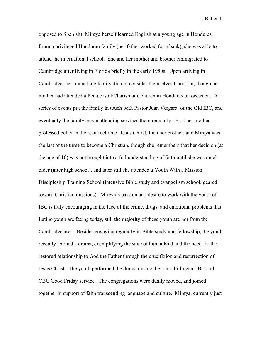opposed to Spanish); Mireya herself learned English at a young age in Honduras. From a privileged Honduran family (her father worked for a bank), she was able to attend the international school. She and her mother and brother emmigrated to Cambridge after living in Florida briefly in the early 1980s. Upon arriving in Cambridge, her immediate family did not consider themselves Christian, though her mother had attended a Pentecostal/Charismatic church in Honduras on occasion. A series of events put the family in touch with Pastor Juan Vergara, of the Old IBC, and eventually the family began attending services there regularly. First her mother professed belief in the resurrection of Jesus Christ, then her brother, and Mireya was the last of the three to become a Christian, though she remembers that her decision (at the age of 10) was not brought into a full understanding of faith until she was much older (after high school), and later still she attended a Youth With a Mission Discipleship Training School (intensive Bible study and evangelism school, geared toward Christian missions). Mireya's passion and desire to work with the youth of IBC is truly encouraging in the face of the crime, drugs, and emotional problems that Latino youth are facing today, still the majority of these youth are not from the Cambridge area. Besides engaging regularly in Bible study and fellowship, the youth recently learned a drama, exemplifying the state of humankind and the need for the restored relationship to God the Father through the crucifixion and resurrection of Jesus Christ. The youth performed the drama during the joint, bi-lingual IBC and CBC Good Friday service. The congregations were dually moved, and joined together in support of faith transcending language and culture. Mireya, currently just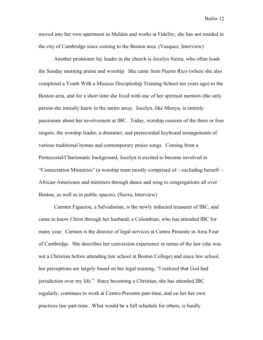moved into her own apartment in Malden and works at Fidelity; she has not resided in the city of Cambridge since coming to the Boston area. (Vasquez, Interview)

 Another prishioner lay leader in the church is Jocelyn Sierra, who often leads the Sunday morning praise and worship. She came from Puerto Rico (where she also completed a Youth With a Mission Discipleship Training School ten years ago) to the Boston area, and for a short time she lived with one of her spiritual mentors (the only person she initially knew in the metro area). Jocelyn, like Mireya, is entirely passionate about her involvement at IBC. Today, worship consists of the three or four singers, the worship leader, a drummer, and prerecorded keyboard arrangements of various traditional hymns and contemporary praise songs. Coming from a Pentecostal/Charismatic background, Jocelyn is excited to become involved in "Consecration Ministries" (a worship team mostly comprised of—excluding herself— African-Americans and ministers through dance and song to congregations all over Boston, as well as in public spaces). (Sierra, Interview)

 Carmen Figueroa, a Salvadorian, is the newly inducted treasurer of IBC, and came to know Christ through her husband, a Colombian, who has attended IBC for many year. Carmen is the director of legal services at Centro Presente in Area Four of Cambridge. She describes her conversion experience in terms of the law (she was not a Christian before attending law school at Boston College) and since law school, her perceptions are largely based on her legal training, "I realized that God had jurisdiction over my life." Since becoming a Christian, she has attended IBC regularly, continues to work at Centro-Presente part-time, and on her her own practices law part-time. What would be a full schedule for others, is hardly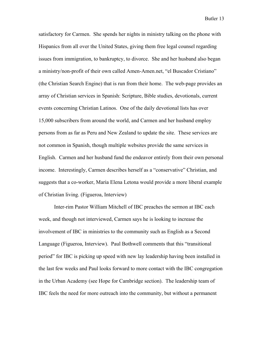satisfactory for Carmen. She spends her nights in ministry talking on the phone with Hispanics from all over the United States, giving them free legal counsel regarding issues from immigration, to bankruptcy, to divorce. She and her husband also began a ministry/non-profit of their own called Amen-Amen.net, "el Buscador Cristiano" (the Christian Search Engine) that is run from their home. The web-page provides an array of Christian services in Spanish: Scripture, Bible studies, devotionals, current events concerning Christian Latinos. One of the daily devotional lists has over 15,000 subscribers from around the world, and Carmen and her husband employ persons from as far as Peru and New Zealand to update the site. These services are not common in Spanish, though multiple websites provide the same services in English. Carmen and her husband fund the endeavor entirely from their own personal income. Interestingly, Carmen describes herself as a "conservative" Christian, and suggests that a co-worker, Maria Elena Letona would provide a more liberal example of Christian living. (Figueroa, Interview)

 Inter-rim Pastor William Mitchell of IBC preaches the sermon at IBC each week, and though not interviewed, Carmen says he is looking to increase the involvement of IBC in ministries to the community such as English as a Second Language (Figueroa, Interview). Paul Bothwell comments that this "transitional period" for IBC is picking up speed with new lay leadership having been installed in the last few weeks and Paul looks forward to more contact with the IBC congregation in the Urban Academy (see Hope for Cambridge section). The leadership team of IBC feels the need for more outreach into the community, but without a permanent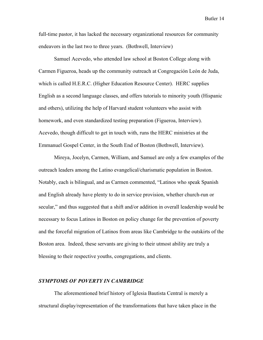full-time pastor, it has lacked the necessary organizational resources for community endeavors in the last two to three years. (Bothwell, Interview)

 Samuel Acevedo, who attended law school at Boston College along with Carmen Figueroa, heads up the community outreach at Congregación León de Juda, which is called H.E.R.C. (Higher Education Resource Center). HERC supplies English as a second language classes, and offers tutorials to minority youth (Hispanic and others), utilizing the help of Harvard student volunteers who assist with homework, and even standardized testing preparation (Figueroa, Interview). Acevedo, though difficult to get in touch with, runs the HERC ministries at the Emmanuel Gospel Center, in the South End of Boston (Bothwell, Interview).

 Mireya, Jocelyn, Carmen, William, and Samuel are only a few examples of the outreach leaders among the Latino evangelical/charismatic population in Boston. Notably, each is bilingual, and as Carmen commented, "Latinos who speak Spanish and English already have plenty to do in service provision, whether church-run or secular," and thus suggested that a shift and/or addition in overall leadership would be necessary to focus Latinos in Boston on policy change for the prevention of poverty and the forceful migration of Latinos from areas like Cambridge to the outskirts of the Boston area. Indeed, these servants are giving to their utmost ability are truly a blessing to their respective youths, congregations, and clients.

#### *SYMPTOMS OF POVERTY IN CAMBRIDGE*

The aforementioned brief history of Iglesia Bautista Central is merely a structural display/representation of the transformations that have taken place in the

Butler 14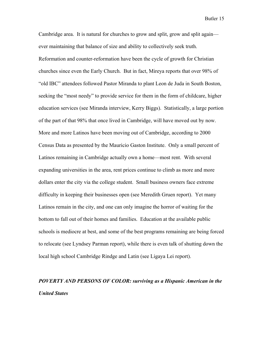Cambridge area. It is natural for churches to grow and split, grow and split again ever maintaining that balance of size and ability to collectively seek truth. Reformation and counter-reformation have been the cycle of growth for Christian churches since even the Early Church. But in fact, Mireya reports that over 98% of "old IBC" attendees followed Pastor Miranda to plant Leon de Juda in South Boston, seeking the "most needy" to provide service for them in the form of childcare, higher education services (see Miranda interview, Kerry Biggs). Statistically, a large portion of the part of that 98% that once lived in Cambridge, will have moved out by now. More and more Latinos have been moving out of Cambridge, according to 2000 Census Data as presented by the Mauricio Gaston Institute. Only a small percent of Latinos remaining in Cambridge actually own a home—most rent. With several expanding universities in the area, rent prices continue to climb as more and more dollars enter the city via the college student. Small business owners face extreme difficulty in keeping their businesses open (see Meredith Gruen report). Yet many Latinos remain in the city, and one can only imagine the horror of waiting for the bottom to fall out of their homes and families. Education at the available public schools is mediocre at best, and some of the best programs remaining are being forced to relocate (see Lyndsey Parman report), while there is even talk of shutting down the local high school Cambridge Rindge and Latin (see Ligaya Lei report).

# *POVERTY AND PERSONS OF COLOR: surviving as a Hispanic American in the United States*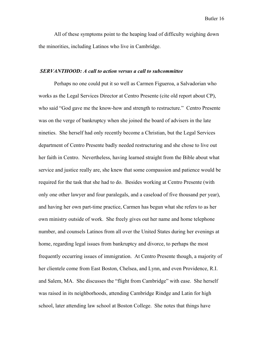All of these symptoms point to the heaping load of difficulty weighing down the minorities, including Latinos who live in Cambridge.

#### *SERVANTHOOD: A call to action versus a call to subcommittee*

 Perhaps no one could put it so well as Carmen Figueroa, a Salvadorian who works as the Legal Services Director at Centro Presente (cite old report about CP), who said "God gave me the know-how and strength to restructure." Centro Presente was on the verge of bankruptcy when she joined the board of advisers in the late nineties. She herself had only recently become a Christian, but the Legal Services department of Centro Presente badly needed restructuring and she chose to live out her faith in Centro. Nevertheless, having learned straight from the Bible about what service and justice really are, she knew that some compassion and patience would be required for the task that she had to do. Besides working at Centro Presente (with only one other lawyer and four paralegals, and a caseload of five thousand per year), and having her own part-time practice, Carmen has begun what she refers to as her own ministry outside of work. She freely gives out her name and home telephone number, and counsels Latinos from all over the United States during her evenings at home, regarding legal issues from bankruptcy and divorce, to perhaps the most frequently occurring issues of immigration. At Centro Presente though, a majority of her clientele come from East Boston, Chelsea, and Lynn, and even Providence, R.I. and Salem, MA. She discusses the "flight from Cambridge" with ease. She herself was raised in its neighborhoods, attending Cambridge Rindge and Latin for high school, later attending law school at Boston College. She notes that things have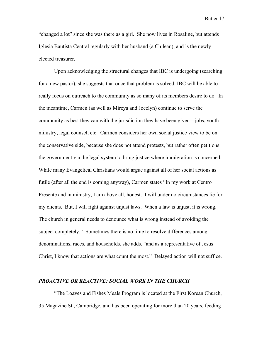"changed a lot" since she was there as a girl. She now lives in Rosaline, but attends Iglesia Bautista Central regularly with her husband (a Chilean), and is the newly elected treasurer.

Upon acknowledging the structural changes that IBC is undergoing (searching) for a new pastor), she suggests that once that problem is solved, IBC will be able to really focus on outreach to the community as so many of its members desire to do. In the meantime, Carmen (as well as Mireya and Jocelyn) continue to serve the community as best they can with the jurisdiction they have been given—jobs, youth ministry, legal counsel, etc. Carmen considers her own social justice view to be on the conservative side, because she does not attend protests, but rather often petitions the government via the legal system to bring justice where immigration is concerned. While many Evangelical Christians would argue against all of her social actions as futile (after all the end is coming anyway), Carmen states "In my work at Centro Presente and in ministry, I am above all, honest. I will under no circumstances lie for my clients. But, I will fight against unjust laws. When a law is unjust, it is wrong. The church in general needs to denounce what is wrong instead of avoiding the subject completely." Sometimes there is no time to resolve differences among denominations, races, and households, she adds, "and as a representative of Jesus Christ, I know that actions are what count the most." Delayed action will not suffice.

#### *PROACTIVE OR REACTIVE: SOCIAL WORK IN THE CHURCH*

 "The Loaves and Fishes Meals Program is located at the First Korean Church, 35 Magazine St., Cambridge, and has been operating for more than 20 years, feeding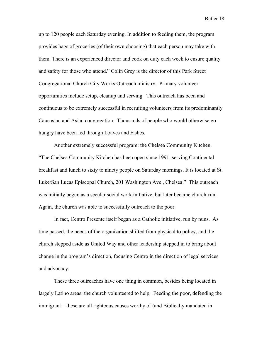up to 120 people each Saturday evening. In addition to feeding them, the program provides bags of groceries (of their own choosing) that each person may take with them. There is an experienced director and cook on duty each week to ensure quality and safety for those who attend." Colin Grey is the director of this Park Street Congregational Church City Works Outreach ministry. Primary volunteer opportunities include setup, cleanup and serving. This outreach has been and continuous to be extremely successful in recruiting volunteers from its predominantly Caucasian and Asian congregation. Thousands of people who would otherwise go hungry have been fed through Loaves and Fishes.

 Another extremely successful program: the Chelsea Community Kitchen. "The Chelsea Community Kitchen has been open since 1991, serving Continental breakfast and lunch to sixty to ninety people on Saturday mornings. It is located at St. Luke/San Lucas Episcopal Church, 201 Washington Ave., Chelsea." This outreach was initially begun as a secular social work initiative, but later became church-run. Again, the church was able to successfully outreach to the poor.

 In fact, Centro Presente itself began as a Catholic initiative, run by nuns. As time passed, the needs of the organization shifted from physical to policy, and the church stepped aside as United Way and other leadership stepped in to bring about change in the program's direction, focusing Centro in the direction of legal services and advocacy.

 These three outreaches have one thing in common, besides being located in largely Latino areas: the church volunteered to help. Feeding the poor, defending the immigrant—these are all righteous causes worthy of (and Biblically mandated in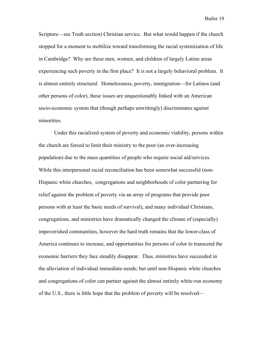Scripture—see Truth section) Christian service. But what would happen if the church stopped for a moment to mobilize toward transforming the racial systemization of life in Cambridge? Why are these men, women, and children of largely Latino areas experiencing such poverty in the first place? It is not a largely behavioral problem. It is almost entirely structural. Homelessness, poverty, immigration—for Latinos (and other persons of color), these issues are unquestionably linked with an American socio-economic system that (though perhaps unwittingly) discriminates against minorities.

 Under this racialized system of poverty and economic viability, persons within the church are forced to limit their ministry to the poor (an ever-increasing population) due to the mass quantities of people who require social aid/services. While this interpersonal racial reconciliation has been somewhat successful (non-Hispanic white churches, congregations and neighborhoods of color partnering for relief against the problem of poverty via an array of programs that provide poor persons with at least the basic needs of survival), and many individual Christians, congregations, and ministries have dramatically changed the climate of (especially) impoverished communities, however the hard truth remains that the lower-class of America continues to increase, and opportunities for persons of color to transcend the economic barriers they face steadily disappear. Thus, ministries have succeeded in the alleviation of individual immediate-needs; but until non-Hispanic white churches and congregations of color can partner against the almost entirely white-run economy of the U.S., there is little hope that the problem of poverty will be resolved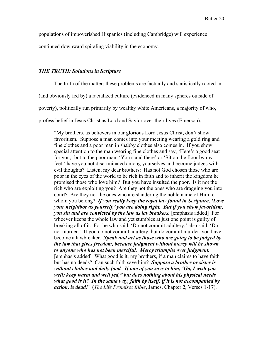populations of impoverished Hispanics (including Cambridge) will experience

continued downward spiraling viability in the economy.

#### *THE TRUTH: Solutions in Scripture*

The truth of the matter: these problems are factually and statistically rooted in

(and obviously fed by) a racialized culture (evidenced in many spheres outside of

poverty), politically run primarily by wealthy white Americans, a majority of who,

profess belief in Jesus Christ as Lord and Savior over their lives (Emerson).

"My brothers, as believers in our glorious Lord Jesus Christ, don't show favoritism. Suppose a man comes into your meeting wearing a gold ring and fine clothes and a poor man in shabby clothes also comes in. If you show special attention to the man wearing fine clothes and say, 'Here's a good seat for you,' but to the poor man, 'You stand there' or 'Sit on the floor by my feet,' have you not discriminated among yourselves and become judges with evil thoughts? Listen, my dear brothers: Has not God chosen those who are poor in the eyes of the world to be rich in faith and to inherit the kingdom he promised those who love him? But you have insulted the poor. Is it not the rich who are exploiting you? Are they not the ones who are dragging you into court? Are they not the ones who are slandering the noble name of Him to whom you belong? *If you really keep the royal law found in Scripture, 'Love your neightbor as yourself,' you are doing right. But if you show favoritism, you sin and are convicted by the law as lawbreakers.* [emphasis added] For whoever keeps the whole law and yet stumbles at just one point is guilty of breaking all of it. For he who said, 'Do not commit adultery,' also said, 'Do not murder.' If you do not commit adultery, but do commit murder, you have become a lawbreaker. *Speak and act as those who are going to be judged by the law that gives freedom, because judgment without mercy will be shown to anyone who has not been merciful. Mercy triumphs over judgment.* [emphasis added] What good is it, my brothers, if a man claims to have faith but has no deeds? Can such faith save him? *Suppose a brother or sister is without clothes and daily food. If one of you says to him, 'Go, I wish you well; keep warm and well fed," but does nothing about his physical needs what good is it? In the same way, faith by itself, if it is not accompanied by action, is dead.*" (*The Life Promises Bible*, James, Chapter 2, Verses 1-17).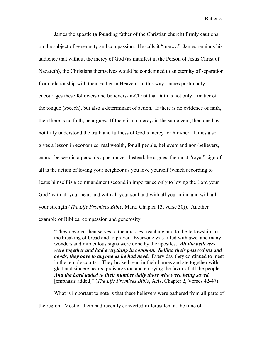James the apostle (a founding father of the Christian church) firmly cautions on the subject of generosity and compassion. He calls it "mercy." James reminds his audience that without the mercy of God (as manifest in the Person of Jesus Christ of Nazareth), the Christians themselves would be condemned to an eternity of separation from relationship with their Father in Heaven. In this way, James profoundly encourages these followers and believers-in-Christ that faith is not only a matter of the tongue (speech), but also a determinant of action. If there is no evidence of faith, then there is no faith, he argues. If there is no mercy, in the same vein, then one has not truly understood the truth and fullness of God's mercy for him/her. James also gives a lesson in economics: real wealth, for all people, believers and non-believers, cannot be seen in a person's appearance. Instead, he argues, the most "royal" sign of all is the action of loving your neighbor as you love yourself (which according to Jesus himself is a commandment second in importance only to loving the Lord your God "with all your heart and with all your soul and with all your mind and with all your strength (*The Life Promises Bible*, Mark, Chapter 13, verse 30)). Another example of Biblical compassion and generosity:

"They devoted themselves to the apostles' teaching and to the fellowship, to the breaking of bread and to prayer. Everyone was filled with awe, and many wonders and miraculous signs were done by the apostles. *All the believers were together and had everything in common. Selling their possessions and goods, they gave to anyone as he had need.* Every day they continued to meet in the temple courts. They broke bread in their homes and ate together with glad and sincere hearts, praising God and enjoying the favor of all the people. *And the Lord added to their number daily those who were being saved.* [emphasis added]" (*The Life Promises Bible*, Acts, Chapter 2, Verses 42-47).

 What is important to note is that these believers were gathered from all parts of the region. Most of them had recently converted in Jerusalem at the time of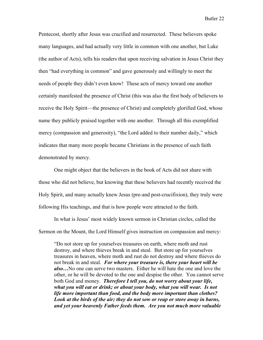Pentecost, shortly after Jesus was crucified and resurrected. These believers spoke many languages, and had actually very little in common with one another, but Luke (the author of Acts), tells his readers that upon receiving salvation in Jesus Christ they then "had everything in common" and gave generously and willingly to meet the needs of people they didn't even know! These acts of mercy toward one another certainly manifested the presence of Christ (this was also the first body of believers to receive the Holy Spirit—the presence of Christ) and completely glorified God, whose name they publicly praised together with one another. Through all this exemplified mercy (compassion and generosity), "the Lord added to their number daily," which indicates that many more people became Christians in the presence of such faith demonstrated by mercy.

 One might object that the believers in the book of Acts did not share with those who did not believe, but knowing that these believers had recently received the Holy Spirit, and many actually knew Jesus (pre-and post-crucifixion), they truly were following His teachings, and that is how people were attracted to the faith.

 In what is Jesus' most widely known sermon in Christian circles, called the Sermon on the Mount, the Lord Himself gives instruction on compassion and mercy:

"Do not store up for yourselves treasures on earth, where moth and rust destroy, and where thieves break in and steal. But store up for yourselves treasures in heaven, where moth and rust do not destroy and where thieves do not break in and steal. *For where your treasure is, there your heart will be also…*No one can serve two masters. Either he will hate the one and love the other, or he will be devoted to the one and despise the other. You cannot serve both God and money. *Therefore I tell you, do not worry about your life, what you will eat or drink; or about your body, what you will wear. Is not life more important than food, and the body more important than clothes? Look at the birds of the air; they do not sow or reap or store away in barns, and yet your heavenly Father feeds them. Are you not much more valuable*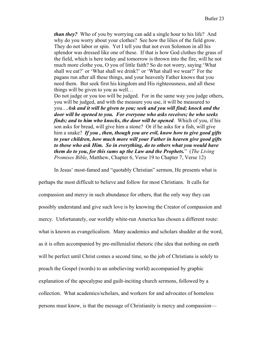*than they?* Who of you by worrying can add a single hour to his life? And why do you worry about your clothes? See how the lilies of the field grow. They do not labor or spin. Yet I tell you that not even Solomon in all his splendor was dressed like one of these. If that is how God clothes the grass of the field, which is here today and tomorrow is thrown into the fire, will he not much more clothe you, O you of little faith? So do not worry, saying 'What shall we eat?' or 'What shall we drink?' or 'What shall we wear?' For the pagans run after all these things, and your heavenly Father knows that you need them. But seek first his kingdom and His righteousness, and all these things will be given to you as well…

Do not judge or you too will be judged. For in the same way you judge others, you will be judged, and with the measure you use, it will be measured to you…*Ask and it will be given to you; seek and you will find; knock and the door will be opened to you. For everyone who asks receives; he who seeks finds; and to him who knocks, the door will be opened*. Which of you, if his son asks for bread, will give him a stone? Or if he asks for a fish, will give him a snake? *If you , then, though you are evil, know how to give good gifts to your children, how much more will your Father in heaven give good gifts to those who ask Him. So in everything, do to others what you would have them do to you, for this sums up the Law and the Prophets.*" (*The Living Promises Bible*, Matthew, Chapter 6, Verse 19 to Chapter 7, Verse 12)

In Jesus' most-famed and "quotably Christian" sermon, He presents what is

perhaps the most difficult to believe and follow for most Christians. It calls for compassion and mercy in such abundance for others, that the only way they can possibly understand and give such love is by knowing the Creator of compassion and mercy. Unfortunately, our worldly white-run America has chosen a different route: what is known as evangelicalism. Many academics and scholars shudder at the word, as it is often accompanied by pre-millenialist rhetoric (the idea that nothing on earth will be perfect until Christ comes a second time, so the job of Christians is solely to preach the Gospel (words) to an unbelieving world) accompanied by graphic explanation of the apocalypse and guilt-inciting church sermons, followed by a collection. What academics/scholars, and workers for and advocates of homeless persons must know, is that the message of Christianity is mercy and compassion—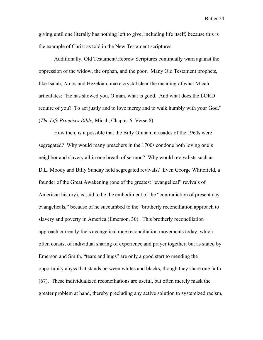giving until one literally has nothing left to give, including life itself, because this is the example of Christ as told in the New Testament scriptures.

 Additionally, Old Testament/Hebrew Scriptures continually warn against the oppression of the widow, the orphan, and the poor. Many Old Testament prophets, like Isaiah, Amos and Hezekiah, make crystal clear the meaning of what Micah articulates: "He has showed you, O man, what is good. And what does the LORD require of you? To act justly and to love mercy and to walk humbly with your God," (*The Life Promises Bible,* Micah, Chapter 6, Verse 8).

How then, is it possible that the Billy Graham crusades of the 1960s were segregated? Why would many preachers in the 1700s condone both loving one's neighbor and slavery all in one breath of sermon? Why would revivalists such as D.L. Moody and Billy Sunday hold segregated revivals? Even George Whitefield, a founder of the Great Awakening (one of the greatest "evangelical" revivals of American history), is said to be the embodiment of the "contradiction of present day evangelicals," because of he succumbed to the "brotherly reconciliation approach to slavery and poverty in America (Emerson, 30). This brotherly reconciliation approach currently fuels evangelical race reconciliation movements today, which often consist of individual sharing of experience and prayer together, but as stated by Emerson and Smith, "tears and hugs" are only a good start to mending the opportunity abyss that stands between whites and blacks, though they share one faith (67). These individualized reconciliations are useful, but often merely mask the greater problem at hand, thereby precluding any active solution to systemized racism,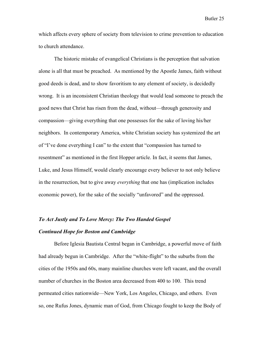which affects every sphere of society from television to crime prevention to education to church attendance.

The historic mistake of evangelical Christians is the perception that salvation alone is all that must be preached. As mentioned by the Apostle James, faith without good deeds is dead, and to show favoritism to any element of society, is decidedly wrong. It is an inconsistent Christian theology that would lead someone to preach the good news that Christ has risen from the dead, without—through generosity and compassion—giving everything that one possesses for the sake of loving his/her neighbors. In contemporary America, white Christian society has systemized the art of "I've done everything I can" to the extent that "compassion has turned to resentment" as mentioned in the first Hopper article. In fact, it seems that James, Luke, and Jesus Himself, would clearly encourage every believer to not only believe in the resurrection, but to give away *everything* that one has (implication includes economic power), for the sake of the socially "unfavored" and the oppressed.

#### *To Act Justly and To Love Mercy: The Two Handed Gospel*

#### *Continued Hope for Boston and Cambridge*

 Before Iglesia Bautista Central began in Cambridge, a powerful move of faith had already begun in Cambridge. After the "white-flight" to the suburbs from the cities of the 1950s and 60s, many mainline churches were left vacant, and the overall number of churches in the Boston area decreased from 400 to 100. This trend permeated cities nationwide—New York, Los Angeles, Chicago, and others. Even so, one Rufus Jones, dynamic man of God, from Chicago fought to keep the Body of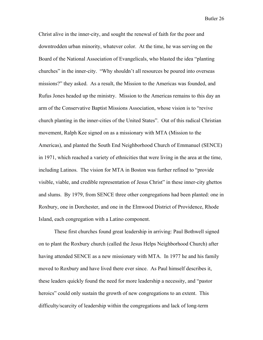Christ alive in the inner-city, and sought the renewal of faith for the poor and downtrodden urban minority, whatever color. At the time, he was serving on the Board of the National Association of Evangelicals, who blasted the idea "planting churches" in the inner-city. "Why shouldn't all resources be poured into overseas missions?" they asked. As a result, the Mission to the Americas was founded, and Rufus Jones headed up the ministry. Mission to the Americas remains to this day an arm of the Conservative Baptist Missions Association, whose vision is to "revive church planting in the inner-cities of the United States". Out of this radical Christian movement, Ralph Kee signed on as a missionary with MTA (Mission to the Americas), and planted the South End Neighborhood Church of Emmanuel (SENCE) in 1971, which reached a variety of ethnicities that were living in the area at the time, including Latinos. The vision for MTA in Boston was further refined to "provide visible, viable, and credible representation of Jesus Christ" in these inner-city ghettos and slums. By 1979, from SENCE three other congregations had been planted: one in Roxbury, one in Dorchester, and one in the Elmwood District of Providence, Rhode Island, each congregation with a Latino component.

These first churches found great leadership in arriving: Paul Bothwell signed on to plant the Roxbury church (called the Jesus Helps Neighborhood Church) after having attended SENCE as a new missionary with MTA. In 1977 he and his family moved to Roxbury and have lived there ever since. As Paul himself describes it, these leaders quickly found the need for more leadership a necessity, and "pastor heroics" could only sustain the growth of new congregations to an extent. This difficulty/scarcity of leadership within the congregations and lack of long-term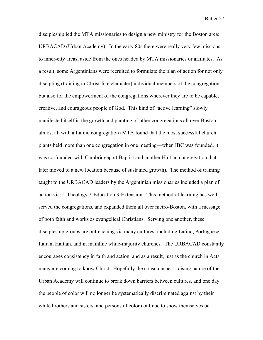discipleship led the MTA missionaries to design a new ministry for the Boston area: URBACAD (Urban Academy). In the early 80s there were really very few missions to inner-city areas, aside from the ones headed by MTA missionaries or affiliates. As a result, some Argentinians were recruited to formulate the plan of action for not only discipling (training in Christ-like character) individual members of the congregation, but also for the empowerment of the congregations wherever they are to be capable, creative, and courageous people of God. This kind of "active learning" slowly manifested itself in the growth and planting of other congregations all over Boston, almost all with a Latino congregation (MTA found that the most successful church plants held more than one congregation in one meeting—when IBC was founded, it was co-founded with Cambridgeport Baptist and another Haitian congregation that later moved to a new location because of sustained growth). The method of training taught to the URBACAD leaders by the Argentinian missionaries included a plan of action via: 1-Theology 2-Education 3-Extension. This method of learning has well served the congregations, and expanded them all over metro-Boston, with a message of both faith and works as evangelical Christians. Serving one another, these discipleship groups are outreaching via many cultures, including Latino, Portuguese, Italian, Haitian, and in mainline white-majority churches. The URBACAD constantly encourages consistency in faith and action, and as a result, just as the church in Acts, many are coming to know Christ. Hopefully the consciousness-raising nature of the Urban Academy will continue to break down barriers between cultures, and one day the people of color will no longer be systematically discriminated against by their white brothers and sisters, and persons of color continue to show themselves be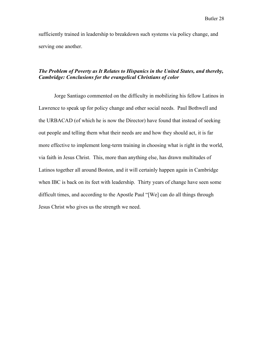sufficiently trained in leadership to breakdown such systems via policy change, and serving one another.

### *The Problem of Poverty as It Relates to Hispanics in the United States, and thereby, Cambridge: Conclusions for the evangelical Christians of color*

Jorge Santiago commented on the difficulty in mobilizing his fellow Latinos in Lawrence to speak up for policy change and other social needs. Paul Bothwell and the URBACAD (of which he is now the Director) have found that instead of seeking out people and telling them what their needs are and how they should act, it is far more effective to implement long-term training in choosing what is right in the world, via faith in Jesus Christ. This, more than anything else, has drawn multitudes of Latinos together all around Boston, and it will certainly happen again in Cambridge when IBC is back on its feet with leadership. Thirty years of change have seen some difficult times, and according to the Apostle Paul "[We] can do all things through Jesus Christ who gives us the strength we need.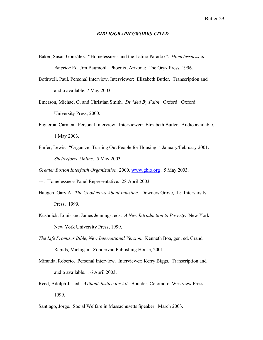#### *BIBLIOGRAPHY/WORKS CITED*

- Baker, Susan González. "Homelessness and the Latino Paradox". *Homelessness in America* Ed. Jim Baumohl. Phoenix, Arizona: The Oryx Press, 1996.
- Bothwell, Paul. Personal Interview. Interviewer: Elizabeth Butler. Transcription and audio available. 7 May 2003.
- Emerson, Michael O. and Christian Smith. *Divided By Faith*. Oxford: Oxford University Press, 2000.
- Figueroa, Carmen. Personal Interview. Interviewer: Elizabeth Butler. Audio available. 1 May 2003.
- Finfer, Lewis. "Organize! Turning Out People for Housing." January/February 2001. *Shelterforce Online*. 5 May 2003.

*Greater Boston Interfaith Organization.* 2000. www.gbio.org . 5 May 2003.

- ---. Homelessness Panel Representative. 28 April 2003.
- Haugen, Gary A. *The Good News About Injustice*. Downers Grove, IL: Intervarsity Press, 1999.
- Kushnick, Louis and James Jennings, eds. *A New Introduction to Poverty*. New York: New York University Press, 1999.
- *The Life Promises Bible, New International Version.* Kenneth Boa, gen. ed. Grand Rapids, Michigan: Zondervan Publishing House, 2001.
- Miranda, Roberto. Personal Interview. Interviewer: Kerry Biggs. Transcription and audio available. 16 April 2003.
- Reed, Adolph Jr., ed. *Without Justice for All*. Boulder, Colorado: Westview Press, 1999.
- Santiago, Jorge. Social Welfare in Massachusetts Speaker. March 2003.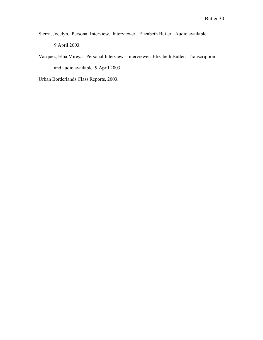Sierra, Jocelyn. Personal Interview. Interviewer: Elizabeth Butler. Audio available. 9 April 2003.

Vasquez, Elba Mireya. Personal Interview. Interviewer: Elizabeth Butler. Transcription and audio available. 9 April 2003.

Urban Borderlands Class Reports, 2003.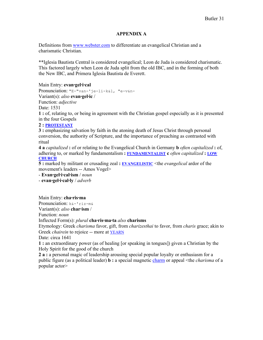#### **APPENDIX A**

Definitions from www.webster.com to differentiate an evangelical Christian and a charismatic Christian.

\*\*Iglesia Bautista Central is considered evangelical; Leon de Juda is considered charismatic. This factored largely when Leon de Juda split from the old IBC, and in the forming of both the New IBC, and Primera Iglesia Bautista de Everett.

Main Entry: **evan·gel·i·cal**

Pronunciation: "E-"van-'je-li-k&l, "e-v&n-

Variant(s): *also* **evan·gel·ic** /

Function: *adjective*

Date: 1531

**1 :** of, relating to, or being in agreement with the Christian gospel especially as it is presented in the four Gospels

#### **2 : PROTESTANT**

**3 :** emphasizing salvation by faith in the atoning death of Jesus Christ through personal conversion, the authority of Scripture, and the importance of preaching as contrasted with ritual

**4 a** *capitalized* **:** of or relating to the Evangelical Church in Germany **b** *often capitalized* **:** of, adhering to, or marked by fundamentalism **: FUNDAMENTALIST c** *often capitalized* **: LOW CHURCH**

**5 :** marked by militant or crusading zeal **: EVANGELISTIC** <the *evangelical* ardor of the movement's leaders -- Amos Vogel>

- **Evan·gel·i·cal·ism** / *noun*

- **evan·gel·i·cal·ly** / *adverb*

Main Entry: **cha·ris·ma**

Pronunciation: k&-'riz-m&

Variant(s): *also* **char·ism** /

Function: *noun*

Inflected Form(s): *plural* **cha·ris·ma·ta** *also* **charisms**

Etymology: Greek *charisma* favor, gift, from *charizesthai* to favor, from *charis* grace; akin to Greek *chairein* to rejoice -- more at YEARN

Date: circa 1641

**1 :** an extraordinary power (as of healing [or speaking in tongues]) given a Christian by the Holy Spirit for the good of the church

**2 a :** a personal magic of leadership arousing special popular loyalty or enthusiasm for a public figure (as a political leader) **b :** a special magnetic charm or appeal <the *charisma* of a popular actor>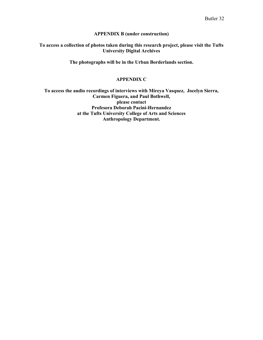#### **APPENDIX B (under construction)**

#### **To access a collection of photos taken during this research project, please visit the Tufts University Digital Archives**

**The photographs will be in the Urban Borderlands section.** 

#### **APPENDIX C**

**To access the audio recordings of interviews with Mireya Vasquez, Jocelyn Sierra, Carmen Figuera, and Paul Bothwell, please contact Profesora Deborah Pacini-Hernandez at the Tufts University College of Arts and Sciences Anthropology Department.**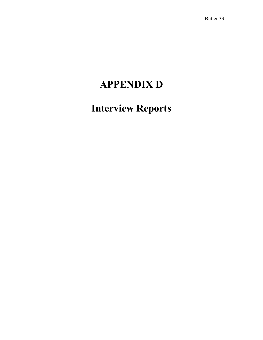# **APPENDIX D**

# **Interview Reports**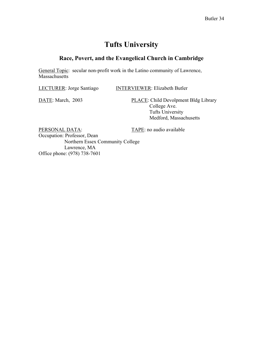### **Race, Povert, and the Evangelical Church in Cambridge**

General Topic: secular non-profit work in the Latino community of Lawrence, Massachusetts

LECTURER: Jorge Santiago INTERVIEWER: Elizabeth Butler

DATE: March, 2003 PLACE: Child Devolpment Bldg Library College Ave. Tufts University Medford, Massachusetts

PERSONAL DATA: TAPE: no audio available Occupation: Professor, Dean Northern Essex Community College Lawrence, MA Office phone: (978) 738-7601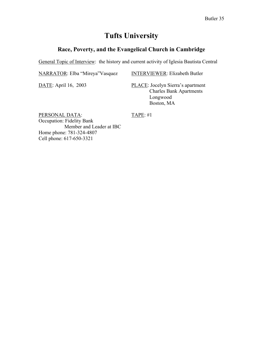# **Tufts University**

### **Race, Poverty, and the Evangelical Church in Cambridge**

General Topic of Interview: the history and current activity of Iglesia Bautista Central

NARRATOR: Elba "Mireya"Vasquez INTERVIEWER: Elizabeth Butler

DATE: April 16, 2003 PLACE: Jocelyn Sierra's apartment Charles Bank Apartments Longwood Boston, MA

PERSONAL DATA: TAPE: #1 Occupation: Fidelity Bank Member and Leader at IBC Home phone: 781-324-4807 Cell phone: 617-650-3321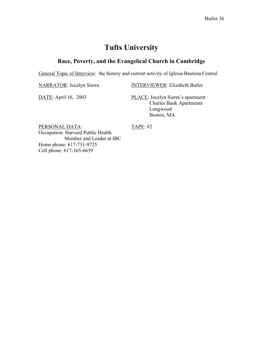## **Race, Poverty, and the Evangelical Church in Cambridge**

General Topic of Interview: the history and current activity of Iglesia Bautista Central

NARRATOR: Jocelyn Sierra INTERVIEWER: Elizabeth Butler

DATE: April 16, 2003 PLACE: Jocelyn Sierra's apartment Charles Bank Apartments Longwood Boston, MA

PERSONAL DATA: TAPE: #2 Occupation: Harvard Public Health Member and Leader at IBC Home phone: 617-731-9725 Cell phone: 617-365-6639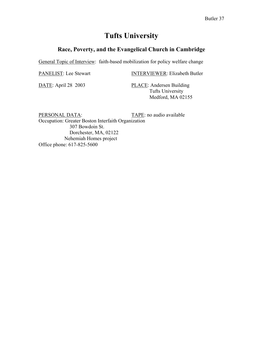### **Race, Poverty, and the Evangelical Church in Cambridge**

General Topic of Interview: faith-based mobilization for policy welfare change

PANELIST: Lee Stewart INTERVIEWER: Elizabeth Butler

DATE: April 28 2003 PLACE: Andersen Building Tufts University Medford, MA 02155

PERSONAL DATA: TAPE: no audio available Occupation: Greater Boston Interfaith Organization 307 Bowdoin St. Dorchester, MA, 02122 Nehemiah Homes project Office phone: 617-825-5600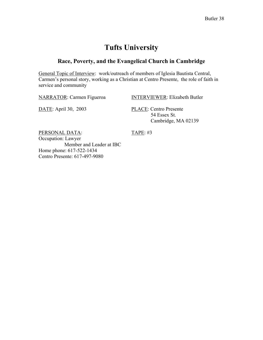### **Race, Poverty, and the Evangelical Church in Cambridge**

General Topic of Interview: work/outreach of members of Iglesia Bautista Central, Carmen's personal story, working as a Christian at Centro Presente, the role of faith in service and community

NARRATOR: Carmen Figueroa INTERVIEWER: Elizabeth Butler

DATE: April 30, 2003 PLACE: Centro Presente 54 Essex St. Cambridge, MA 02139

PERSONAL DATA: TAPE: #3 Occupation: Lawyer Member and Leader at IBC Home phone: 617-522-1434 Centro Presente: 617-497-9080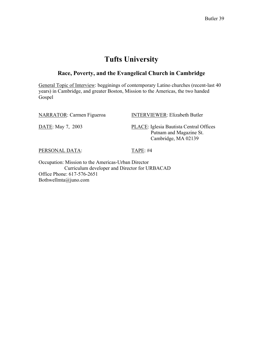## **Race, Poverty, and the Evangelical Church in Cambridge**

General Topic of Interview: begginings of contemporary Latino churches (recent-last 40 years) in Cambridge, and greater Boston, Mission to the Americas, the two handed Gospel

| <b>NARRATOR: Carmen Figueroa</b>       | <b>INTERVIEWER: Elizabeth Butler</b>                                                      |
|----------------------------------------|-------------------------------------------------------------------------------------------|
| $\overline{\text{DATE}}$ : May 7, 2003 | PLACE: Iglesia Bautista Central Offices<br>Putnam and Magazine St.<br>Cambridge, MA 02139 |

#### PERSONAL DATA: TAPE: #4

Occupation: Mission to the Americas-Urban Director Curriculum developer and Director for URBACAD Office Phone: 617-576-2651 Bothwellmta@juno.com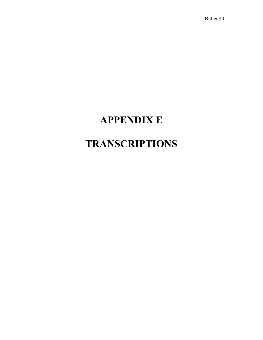# **APPENDIX E**

# **TRANSCRIPTIONS**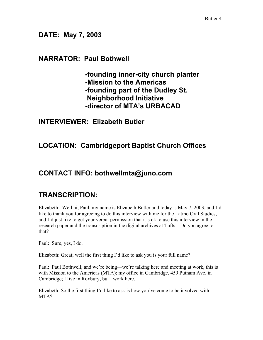**DATE: May 7, 2003** 

### **NARRATOR: Paul Bothwell**

 **-founding inner-city church planter -Mission to the Americas -founding part of the Dudley St. Neighborhood Initiative -director of MTA's URBACAD** 

## **INTERVIEWER: Elizabeth Butler**

# **LOCATION: Cambridgeport Baptist Church Offices**

# **CONTACT INFO: bothwellmta@juno.com**

# **TRANSCRIPTION:**

Elizabeth: Well hi, Paul, my name is Elizabeth Butler and today is May 7, 2003, and I'd like to thank you for agreeing to do this interview with me for the Latino Oral Studies, and I'd just like to get your verbal permission that it's ok to use this interview in the research paper and the transcription in the digital archives at Tufts. Do you agree to that?

Paul: Sure, yes, I do.

Elizabeth: Great; well the first thing I'd like to ask you is your full name?

Paul: Paul Bothwell; and we're being—we're talking here and meeting at work, this is with Mission to the Americas (MTA); my office in Cambridge, 459 Putnam Ave. in Cambridge; I live in Roxbury, but I work here.

Elizabeth: So the first thing I'd like to ask is how you've come to be involved with MTA?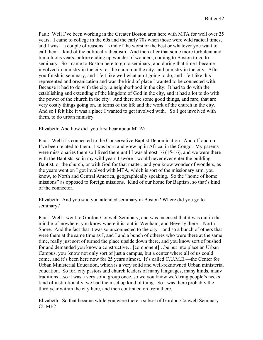Paul: Well I've been working in the Greater Boston area here with MTA for well over 25 years. I came to college in the 60s and the early 70s when those were wild radical times, and I was—a couple of reasons—kind of the worst or the best or whatever you want to call them—kind of the political radicalism. And then after that some more turbulent and tumultuous years, before ending up wonder of wonders, coming to Boston to go to seminary. So I came to Boston here to go to seminary, and during that time I became involved in ministry in the city, or the church in the city, and ministry in the city. After you finish in seminary, and I felt like well what am I going to do, and I felt like this represented and organization and was the kind of place I wanted to be connected with. Because it had to do with the city, a neighborhood in the city. It had to do with the establishing and extending of the kingdom of God in the city, and it had a lot to do with the power of the church in the city. And there are some good things, and rare, that are very costly things going on, in terms of the life and the work of the church in the city. And so I felt like it was a place I wanted to get involved with. So I got involved with them, to do urban ministry.

Elizabeth: And how did you first hear about MTA?

Paul: Well it's connected to the Conservative Baptist Denomination. And off and on I've been related to them. I was born and grew up in Africa, in the Congo. My parents were missionaries there so I lived there until I was almost 16 (15-16), and we were there with the Baptists, so in my wild years I swore I would never ever enter the building Baptist, or the church, or with God for that matter, and you know wonder of wonders, as the years went on I got involved with MTA, which is sort of the missionary arm, you know, to North and Central America, geographically speaking. So the "home of home missions" as opposed to foreign missions. Kind of our home for Baptists, so that's kind of the connector.

Elizabeth: And you said you attended seminary in Boston? Where did you go to seminary?

Paul: Well I went to Gordon-Conwell Seminary, and was incensed that it was out in the middle-of-nowhere, you know where it is, out in Wenham, and Beverly there…North Shore. And the fact that it was so unconnected to the city—and so a bunch of others that were there at the same time as I, and I and a bunch of otheres who were there at the same time, really just sort of turned the place upside down there, and you know sort of pushed for and demanded you know a constructive…[component]…be put into place an Urban Campus, you know not only sort of just a campus, but a center where all of us could come, and it's been here now for 25 years almost. It's called C.U.M.E.—the Center for Urban Ministerial Education, which is a very solid and well-reknowned Urban ministerial education. So for, city pastors and church leaders of many languages, many kinds, many traditions…so it was a very solid group once, so we you know we'd ring people's necks kind of institutionally, we had them set up kind of thing. So I was there probably the third year within the city here, and then continued on from there.

Elizabeth: So that became while you were there a subset of Gordon-Conwell Seminary— CUME?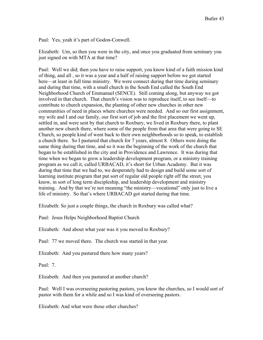Paul: Yes, yeah it's part of Godon-Conwell.

Elizabeth: Um, so then you were in the city, and once you graduated from seminary you just signed on with MTA at that time?

Paul: Well we did; then you have to raise support, you know kind of a faith mission kind of thing, and all , so it was a year and a half of raising support before we got started here—at least in full time ministry. We were connect during that time during seminary and during that time, with a small church in the South End called the South End Neighborhood Church of Emmanuel (SENCE). Still coming along, but anyway we got involved in that church. That church's vision was to reproduce itself, to see itself—to contribute to church expansion, the planting of other new churches in other new communities of need in places where churches were needed. And so our first assignment, my wife and I and our family, our first sort of job and the first placement we went up, settled in, and were sent by that church to Roxbury, we lived in Roxbury there, to plant another new church there, where some of the people from that area that were going to SE Church, so people kind of went back to their own neighborhoods so to speak, to establish a church there. So I pastured that church for 7 years, almost 8. Others were doing the same thing during that time, and so it was the beginning of the work of the church that began to be established in the city and in Providence and Lawrence. It was during that time when we began to grow a leadership development program, or a ministry training program as we call it, called URBACAD, it's short for Urban Academy. But it was during that time that we had to, we desperately had to design and build some sort of learning institute program that put sort of regular old people right off the street, you know, in sort of long term discipleship, and leadership development and ministry training. And by that we're not meaning "the ministry—vocational" only just to live a life of ministry. So that's where URBACAD got started during that time.

Elizabeth: So just a couple things, the church in Roxbury was called what?

Paul: Jesus Helps Neighborhood Baptist Church

Elizabeth: And about what year was it you moved to Roxbury?

Paul: 77 we moved there. The church was started in that year.

Elizabeth: And you pastured there how many years?

Paul: 7.

Elizabeth: And then you pastured at another church?

Paul: Well I was overseeing pastoring pastors, you know the churches, so I would sort of pastor with them for a while and so I was kind of overseeing pastors.

Elizabeth: And what were those other churches?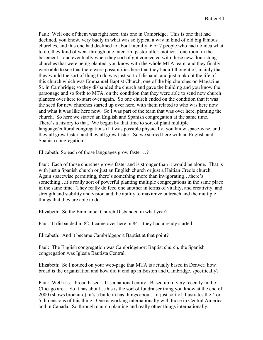Paul: Well one of them was right here; this one in Cambridge. This is one that had declined, you know, very badly in what was so typical a way in kind of old big famous churches, and this one had declined to about literally 6 or 7 people who had no idea what to do, they kind of went through one inter-rim pastor after another…one room in the basement…and eventually when they sort of got connected with these new flourishing churches that were being planted, you know with the whole MTA team, and they finally were able to see that there were possibilities here that they hadn't thought of, mainly that they would the sort of thing to do was just sort of disband, and just took out the life of this church which was Emmanuel Baptist Church, one of the big churches on Magazine St. in Cambridge; so they disbanded the church and gave the building and you know the parsonage and so forth to MTA, on the condition that they were able to send new church planters over here to start over again. So one church ended on the condition that it was the seed for new churches started up over here, with them related to who was here now and what it was like here now. So I was part of the team that was over here, planting the church. So here we started an English and Spanish congregation at the same time. There's a history to that. We begun by that time to sort of plant multiple language/cultural congregations if it was possible physically, you know space-wise, and they all grew faster, and they all grew faster. So we started here with an English and Spanish congregation.

Elizabeth: So each of those languages grow faster…?

Paul: Each of those churches grows faster and is stronger than it would be alone. That is with just a Spanish church or just an English church or just a Haitian Creole church. Again spacewise permitting, there's something more than invigorating…there's something…it's really sort of powerful planting multiple congregations in the same place in the same time. They really do feed one another in terms of vitality, and creativity, and strength and stability and vision and the ability to maximize outreach and the multiple things that they are able to do.

Elizabeth: So the Emmanuel Church Disbanded in what year?

Paul: It disbanded in 82; I came over here in 84—they had already started.

Elizabeth: And it became Cambridgeport Baptist at that point?

Paul: The English congregation was Cambridgeport Baptist church, the Spanish congregation was Iglesia Bautista Central.

Elizabeth: So I noticed on your web-page that MTA is actually based in Denver; how broad is the organization and how did it end up in Boston and Cambridge, specifically?

Paul: Well it's…broad based. It's a national entity. Based up til very recently in the Chicago area. So it has about…this is the sort of fundraiser thing you know at the end of 2000 (shows brochure), it's a bulletin has things about…it just sort of illustrates the 4 or 5 dimensions of this thing. One is working internationally with those in Central America and in Canada. So through church planting and really other things internationally.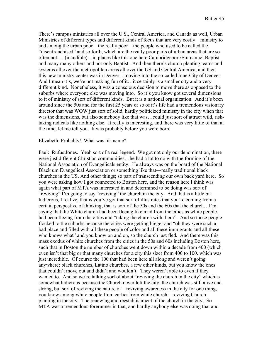There's campus ministries all over the U.S., Central America, and Canada as well, Urban Ministries of different types and different kinds of focus that are very costly—ministry to and among the urban poor—the really poor—the people who used to be called the "disenfranchised" and so forth, which are the really poor parts of urban areas that are so often not … (inaudible)…in places like this one here Cambridgeport/Emmanuel Baptist and many many others and not only Baptist. And then there's church planting teams and systems all over the metropolitan areas all over the US and Central America, and then this new ministry center was in Denver…moving into the so-called InnerCity of Denver. And I mean it's, we're not making fun of it…it certainly is a smaller city and a very different kind. Nonetheless, it was a conscious decision to move there as opposed to the suburbs where everyone else was moving into. So it's you know got several dimensions to it of ministry of sort of different kinds. But it is a national organization. And it's been around since the 50s and for the first 25 years or so of it's life had a tremendous visionary director that was WOW just sort of solid, hardly politicized ministry in the city when that was the dimensions, but also somebody like that was…could just sort of attract wild, risktaking radicals like nothing else. It really is interesting, and there was very little of that at the time, let me tell you. It was probably before you were born!

#### Elizabeth: Probably! What was his name?

Paul: Rufus Jones. Yeah sort of a real legend. We got not only our denomination, there were just different Christian communities…he had a lot to do with the forming of the National Association of Evangelicals entity. He always was on the board of the National Black um Evangelical Association or something like that—really traditional black churches in the US. And other things; so part of transcending our own back yard here. So you were asking how I got connected to Boston here, and the reason here I think was again what part of MTA was interested in and determined to be doing was sort of "reviving" I'm going to say "reviving" the church in the city. And that is a little bit ludicrous, I realize, that is you've got that sort of illustrates that you're coming from a certain perspective of thinking, that is sort of the 50s and the 60s that the church…I'm saying that the White church had been fleeing like mad from the cities as white people had been fleeing from the cities and "taking the church with them". And so those people flocked to the suburbs because the cities were getting bigger and "oh they were such a bad place and filled with all these people of color and all these immigrants and all these who knows what" and you know on and on, so the church just fled. And there was this mass exodus of white churches from the cities in the 50s and 60s including Boston here, such that in Boston the number of churches went down within a decade from 400 (which even isn't that big or that many churches for a city this size) from 400 to 100. which was just incredible. Of course the 100 that had been here all along and weren't going anywhere; black churches, Latino churches, a few other kinds, but you know the ones that couldn't move out and didn't and wouldn't. They weren't able to even if they wanted to. And so we're talking sort of about "reviving the church in the city" which is somewhat ludicrous because the Church never left the city, the church was still alive and strong, but sort of reviving the nature of—reviving awareness in the city for one thing, you know among white people from earlier from white church—reviving Church planting in the city. The renewing and reestablishment of the church in the city. So MTA was a tremendous forerunner in that, and hardly anybody else was doing that and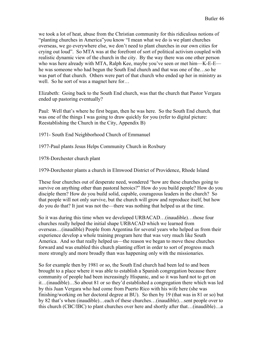we took a lot of heat, abuse from the Christian community for this ridiculous notions of "planting churches in America"you know "I mean what we do is we plant churches overseas, we go everywhere else, we don't need to plant churches in our own cities for crying out loud". So MTA was at the forefront of sort of political activism coupled with realistic dynamic view of the church in the city. By the way there was one other person who was here already with MTA, Ralph Kee, maybe you've seen or met him—K-E-E he was someone who had begun the South End church and that was one of the…so he was part of that church. Others were part of that church who ended up her in ministry as well. So he sort of was a magnet here for...

Elizabeth: Going back to the South End church, was that the church that Pastor Vergara ended up pastoring eventually?

Paul: Well that's where he first began, then he was here. So the South End church, that was one of the things I was going to draw quickly for you (refer to digital picture: Reestablishing the Church in the City, Appendix B)

1971- South End Neighborhood Church of Emmanuel

1977-Paul plants Jesus Helps Community Church in Roxbury

1978-Dorchester church plant

1979-Dorchester plants a church in Elmwood District of Providence, Rhode Island

These four churches out of desperate need, wondered "how are these churches going to survive on anything other than pastoral heroics?" How do you build people? How do you disciple them? How do you build solid, capable, courageous leaders in the church? So that people will not only survive, but the church will grow and reproduce itself, but how do you do that? It just was not the—there was nothing that helped us at the time.

So it was during this time when we developed URBACAD…(inaudible)…those four churches really helped the initial shape URBACAD which we learned from overseas…(inaudible) People from Argentina for several years who helped us from their experience develop a whole training program here that was very much like South America. And so that really helped us—the reason we began to move these churches forward and was enabled this church planting effort in order to sort of progress much more strongly and more broadly than was happening only with the missionaries.

So for example then by 1981 or so, the South End church had been led to and been brought to a place where it was able to establish a Spanish congregation because there community of people had been increasingly Hispanic, and so it was hard not to get on it…(inaudible)…So about 81 or so they'd established a congregation there which was led by this Juan Vergara who had come from Puerto Rico with his wife here (she was finishing/working on her doctoral degree at BU). So then by 19 (that was in 81 or so) but by 82 that's when (inaudible)…each of these churches…(inaudible)…sent people over to this church (CBC/IBC) to plant churches over here and shortly after that…(inaudible)…a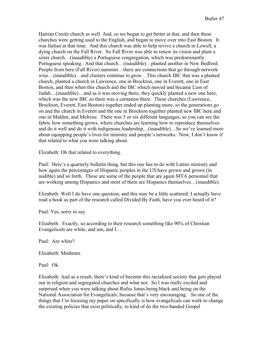Haitian Creole church as well. And, so we began to get better at that, and then these churches were getting used to the English, and began to move over into East Boston. It was Italian at that time. And this church was able to help revive a church in Lowell, a dying church on the Fall River. So Fall River was able to renew its vision and plant a sister church…(inaudible) a Portuguese congregation, which was predominantly Portuguese speaking. And that church…(inaudible)…planted another in New Bedford. People from here (Fall River) uummm…there are connections that go through network wise…(inaudible)…and clusters continue to grow…This church IBC that was a planted church, planted a church in Lawrence, one in Brockton, one in Everett, one in East Boston, and then when this church and the IBC which moved and became Lion of Judah…(inaudible)…and as it was moving there, they quickly planted a new one here, which was the new IBC so there was a carnation there. These churches (Lawrence, Brockton, Everett, East Boston) together ended up planting more, so the generations go on and the church in Everett and the one in Brockton together planted new IBC here and one in Malden, and Melrose. There was 5 or six different languages, so you can see the fabric how something grows, where churches are learning how to reproduce themselves and do it well and do it with indigenous leadership…(inaudible)…So we've learned more about equipping people's lives for ministry and people's networks. Now, I don't know if that related to what you were talking about.

Elizabeth: Oh that related to everything.

Paul: Here's a quarterly bulletin thing, but this one has to do with Latino ministry and how again the percentages of Hispanic peoples in the US have grown and grown (in audible) and so forth. These are some of the people that are again MTA personnel that are working among Hispanics and most of them are Hispanics themselves…(inaudible).

Elizabeth: Well I do have one question, and this may be a little scattered: I actually have read a book as part of the research called Divided By Faith, have you ever heard of it?

Paul: Yes, sorry to say.

Elizabeth: Exactly, so according to their research something like 90% of Christian Evangelicals are white, and um, and I…

Paul: Are white?

Elizabeth: Mmhmm.

Paul: Ok.

Elizabeth: And as a result, there's kind of become this racialized society that gets played out in religion and segregated churches and what not. So I was really excited and surprised when you were talking about Rufus Jones being black and being on the National Association for Evangelicals, because that's very encouraging. So one of the things that I'm focusing my paper on specifically is how evangelicals can work to change the existing policies that exist politically, to kind of do the two-handed Gospel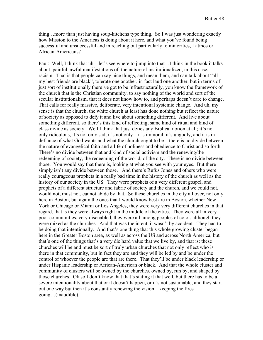thing…more than just having soup-kitchens type thing. So I was just wondering exactly how Mission to the Americas is doing about it here, and what you've found being successful and unsuccessful and in reaching out particularly to minorities, Latinos or African-Americans?

Paul: Well, I think that uh—let's see where to jump into that--.I think in the book it talks about painful, awful manifestations of the nature of institutionalized, in this case, racism. That is that people can say nice things, and mean them, and can talk about "all my best friends are black", tolerate one another, in fact laud one another, but in terms of just sort of institutionally there've got to be infrastructurally, you know the framework of the church that is the Christian community, to say nothing of the world and sort of the secular institutionalism, that it does not know how to, and perhaps doesn't care to change. That calls for really massive, deliberate, very intentional systemic change. And uh, my sense is that the church, the white church at least has done nothing but reflect the nature of society as opposed to defy it and live about something different. And live about something different, so there's this kind of reflecting, same kind of ritual and kind of class divide as society. Well I think that just defies any Biblical notion at all; it's not only ridiculous, it's not only sad, it's not only—it's immoral, it's ungodly, and it is in defiance of what God wants and what the church ought to be—there is no divide between the nature of evangelical faith and a life of holiness and obedience to Christ and so forth. There's no divide between that and kind of social activism and the renewing/the redeeming of society, the redeeming of the world, of the city. There is no divide between those. You would say that there is, looking at what you see with your eyes. But there simply isn't any divide between those. And there's Rufus Jones and others who were really courageous prophets in a really bad time in the history of the church as well as the history of our society in the US. They were prophets of a very different gospel, and prophets of a different structure and fabric of society and the church, and we could not, would not, must not, cannot abide by that. So these churches in the city all over, not only here in Boston, but again the ones that I would know best are in Boston, whether New York or Chicago or Miami or Los Angeles, they were very very different churches in that regard, that is they were always right in the middle of the cities. They were all in very poor communities, very disenabled, they were all among peoples of color, although they were mixed as the churches. And that was the intent, it wasn't by accident. They had to be doing that intentionally. And that's one thing that this whole growing cluster began here in the Greater Boston area, as well as across the US and across North America, but that's one of the things that's a very die hard value that we live by, and that is: these churches will be and must be sort of truly urban churches that not only reflect who is there in that community, but in fact they are and they will be led by and be under the control of whoever the people are that are there. That they'll be under black leadership or under Hispanic leadership or African-American or black. And that the whole cluster and community of clusters will be owned by the churches, owned by, run by, and shaped by those churches. Ok so I don't know that that's stating it that well, but there has to be a severe intentionality about that or it doesn't happen, or it's not sustainable, and they start out one way but then it's constantly renewing the vision—keeping the fires going…(inaudible).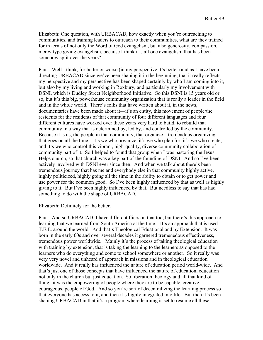Elizabeth: One question, with URBACAD, how exactly when you're outreaching to communities, and training leaders to outreach to their communities, what are they trained for in terms of not only the Word of God evangelism, but also generosity, compassion, mercy type giving evangelism, because I think it's all one evangelism that has been somehow split over the years?

Paul: Well I think, for better or worse (in my perspective it's better) and as I have been directing URBACAD since we've been shaping it in the beginning, that it really reflects my perspective and my perspective has been shaped certainly by who I am coming into it, but also by my living and working in Roxbury, and particularly my involvement with DSNI, which is Dudley Street Neighborhood Initiative. So this DSNI is 15 years old or so, but it's this big, powerhouse community organization that is really a leader in the field and in the whole world. There's folks that have written about it, in the news, documentaries have been made about it—it's an entity, this movement of people/the residents for the residents of that community of four different languages and four different cultures have worked over these years very hard to build, to rebuild that community in a way that is determined by, led by, and controlled by the community. Because it is us, the people in that community, that organize—tremendous organizing that goes on all the time—it's we who organize, it's we who plan for, it's we who create, and it's we who control this vibrant, high-quality, diverse community collaboration of community part of it. So I helped to found that group when I was pastoring the Jesus Helps church, so that church was a key part of the founding of DSNI. And so I've been actively involved with DSNI ever since then. And when we talk about there's been tremendous journey that has me and everybody else in that community highly active, highly politicized, highly going all the time in the ability to obtain or to get power and use power for the common good. So I've been highly influenced by that as well as highly giving to it. But I've been highly influenced by that. But needless to say that has had something to do with the shape of URBACAD.

Elizabeth: Definitely for the better.

Paul: And so URBACAD, I have different fliers on that too, but there's this approach to learning that we learned from South America at the time. It's an approach that is used T.E.E. around the world. And that's Theological Eduational and by Extension. It was born in the early 60s and over several decades it garnered tremenedous effectiveness, tremendous power worldwide. Mainly it's the process of taking theological education with training by extension, that is taking the learning to the learners as opposed to the learners who do everything and come to school somewhere or another. So it really was very very novel and unheard of approach in missions and in theological education worldwide. And it really has influenced the nature of education period world-wide. And that's just one of those concepts that have influenced the nature of education, education not only in the church but just education. So liberation theology and all that kind of thing--it was the empowering of people where they are to be capable, creative, courageous, people of God. And so you're sort of decentralizing the learning process so that everyone has access to it, and then it's highly integrated into life. But then it's been shaping URBACAD in that it's a program where learning is set to resume all these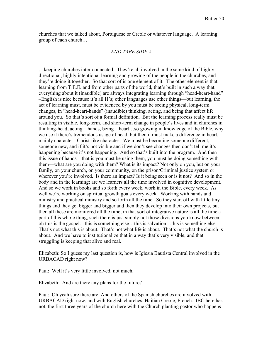churches that we talked about, Portuguese or Creole or whatever language. A learning group of each church…

#### *END TAPE SIDE A*

…keeping churches inter-connected. They're all involved in the same kind of highly directional, highly intentional learning and growing of the people in the churches, and they're doing it together. So that sort of is one element of it. The other element is that learning from T.E.E. and from other parts of the world, that's built in such a way that everything about it (inaudible) are always integrating learning through "head-heart-hand" –English is nice because it's all H's; other languages use other things—but learning, the act of learning must, must be evidenced by you must be seeing physical, long-term changes, in "head-heart-hands" (inaudible) thinking, acting, and being that affect life around you. So that's sort of a formal definition. But the learning process really must be resulting in visible, long-term, and short-term change in people's lives and in churches in thinking-head, acting—hands, being—heart…so growing in knowledge of the Bible, why we use it there's tremendous usage of head, but then it must make a difference in heart, mainly character. Christ-like character. We must be becoming someone different, someone new, and if it's not visible and if we don't see changes then don't tell me it's happening because it's not happening. And so that's built into the program. And then this issue of hands—that is you must be using them, you must be doing something with them—what are you doing with them? What is its impact? Not only on you, but on your family, on your church, on your community, on the prison/Criminal justice system or wherever you're involved. Is there an impact? Is it being seen or is it not? And so in the body and in the learning; are we learners all the time involved in cognitive development. And so we work in books and so forth every week, work in the Bible, every week. As well we're working on spiritual growth goals every week. Working with hands and ministry and practical ministry and so forth all the time. So they start off with little tiny things and they get bigger and bigger and then they develop into their own projects, but then all these are monitored all the time, in that sort of integrative nature is all the time a part of this whole thing, such there is just simply not those divisions you know between oh this is the gospel…this is something else…this is salvation…this is something else. That's not what this is about. That's not what life is about. That's not what the church is about. And we have to institutionalize that in a way that's very visible, and that struggling is keeping that alive and real.

Elizabeth: So I guess my last question is, how is Iglesia Bautista Central involved in the URBACAD right now?

Paul: Well it's very little involved; not much.

Elizabeth: And are there any plans for the future?

Paul: Oh yeah sure there are. And others of the Spanish churches are involved with URBACAD right now, and with English churches, Haitian Creole, French. IBC here has not, the first three years of the church here with the Church planting pastor who happens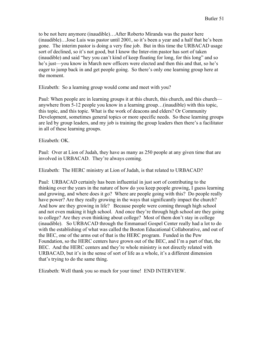to be not here anymore (inaudible)…After Roberto Miranda was the pastor here (inaudible)…Jose Luis was pastor until 2001, so it's been a year and a half that he's been gone. The interim pastor is doing a very fine job. But in this time the URBACAD usage sort of declined, so it's not good, but I know the Inter-rim pastor has sort of taken (inaudible) and said "hey you can't kind of keep floating for long, for this long" and so he's just—you know in March new officers were elected and then this and that, so he's eager to jump back in and get people going. So there's only one learning group here at the moment.

Elizabeth: So a learning group would come and meet with you?

Paul: When people are in learning groups it at this church, this church, and this church anywhere from 5-12 people you know in a learning group…(inaudible) with this topic, this topic, and this topic. What is the work of deacons and elders? Or Community Development, sometimes general topics or more specific needs. So these learning groups are led by group leaders, and my job is training the group leaders then there's a facilitator in all of these learning groups.

#### Elizabeth: OK.

Paul: Over at Lion of Judah, they have as many as 250 people at any given time that are involved in URBACAD. They're always coming.

Elizabeth: The HERC ministry at Lion of Judah, is that related to URBACAD?

Paul: URBACAD certainly has been influential in just sort of contributing to the thinking over the years in the nature of how do you keep people growing, I guess learning and growing, and where does it go? Where are people going with this? Do people really have power? Are they really growing in the ways that significantly impact the church? And how are they growing in life? Because people were coming through high school and not even making it high school. And once they're through high school are they going to college? Are they even thinking about college? Most of them don't stay in college (inaudible). So URBACAD through the Emmanuel Gospel Center really had a lot to do with the establishing of what was called the Boston Educational Collaborative, and out of the BEC, one of the arms out of that is the HERC program. Funded in the Pew Foundation, so the HERC centers have grown out of the BEC, and I'm a part of that, the BEC. And the HERC centers and they're whole ministry is not directly related with URBACAD, but it's in the sense of sort of life as a whole, it's a different dimension that's trying to do the same thing.

Elizabeth: Well thank you so much for your time! END INTERVIEW.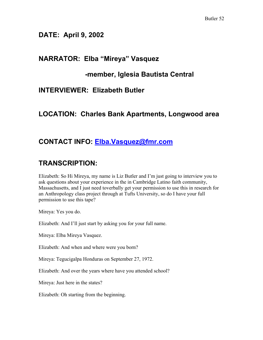## **DATE: April 9, 2002**

## **NARRATOR: Elba "Mireya" Vasquez**

## **-member, Iglesia Bautista Central**

## **INTERVIEWER: Elizabeth Butler**

# **LOCATION: Charles Bank Apartments, Longwood area**

# **CONTACT INFO: Elba.Vasquez@fmr.com**

# **TRANSCRIPTION:**

Elizabeth: So Hi Mireya, my name is Liz Butler and I'm just going to interview you to ask questions about your experience in the in Cambridge Latino faith community, Massachusetts, and I just need toverbally get your permission to use this in research for an Anthropology class project through at Tufts University, so do I have your full permission to use this tape?

Mireya: Yes you do.

Elizabeth: And I'll just start by asking you for your full name.

Mireya: Elba Mireya Vasquez.

Elizabeth: And when and where were you born?

Mireya: Tegucigalpa Honduras on September 27, 1972.

Elizabeth: And over the years where have you attended school?

Mireya: Just here in the states?

Elizabeth: Oh starting from the beginning.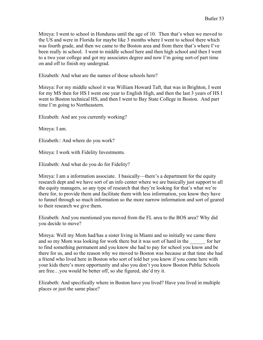Mireya: I went to school in Honduras until the age of 10. Then that's when we moved to the US and were in Florida for maybe like 3 months where I went to school there which was fourth grade, and then we came to the Boston area and from there that's where I've been really in school. I went to middle school here and then high school and then I went to a two year college and got my associates degree and now I'm going sort-of part time on and off to finish my undergrad.

Elizabeth: And what are the names of those schools here?

Mireya: For my middle school it was William Howard Taft, that was in Brighton, I went for my MS then for HS I went one year to English High, and then the last 3 years of HS I went to Boston technical HS, and then I went to Bay State College in Boston. And part time I'm going to Northeastern.

Elizabeth: And are you currently working?

Mireya: I am.

Elizabeth:: And where do you work?

Mireya: I work with Fidelity Investments.

Elizabeth: And what do you do for Fidelity?

Mireya: I am a information associate. I basically—there's a department for the equity research dept and we have sort of an info center where we are basically just support to all the equity managers, so any type of research that they're looking for that's what we're there for, to provide them and facilitate them with less information, you know they have to funnel through so much information so the more narrow information and sort of geared to their research we give them.

Elizabeth: And you mentioned you moved from the FL area to the BOS area? Why did you decide to move?

Mireya: Well my Mom had/has a sister living in Miami and so initially we came there and so my Mom was looking for work there but it was sort of hard in the state of her to find something permanent and you know she had to pay for school you know and be there for us, and so the reason why we moved to Boston was because at that time she had a friend who lived here in Boston who sort of told her you know if you come here with your kids there's more opportunity and also you don't you know Boston Public Schools are free…you would be better off, so she figured, she'd try it.

Elizabeth: And specifically where in Boston have you lived? Have you lived in multiple places or just the same place?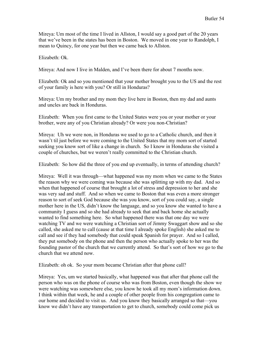Mireya: Um most of the time I lived in Allston, I would say a good part of the 20 years that we've been in the states has been in Boston. We moved in one year to Randolph, I mean to Quincy, for one year but then we came back to Allston.

Elizabeth: Ok.

Mireya: And now I live in Malden, and I've been there for about 7 months now.

Elizabeth: Ok and so you mentioned that your mother brought you to the US and the rest of your family is here with you? Or still in Honduras?

Mireya: Um my brother and my mom they live here in Boston, then my dad and aunts and uncles are back in Honduras.

Elizabeth: When you first came to the United States were you or your mother or your brother, were any of you Christian already? Or were you non-Christian?

Mireya: Uh we were non, in Honduras we used to go to a Catholic church, and then it wasn't til just before we were coming to the United States that my mom sort of started seeking you know sort of like a change in church. So I know in Honduras she visited a couple of churches, but we weren't really committed to the Christian church.

Elizabeth: So how did the three of you end up eventually, in terms of attending church?

Mireya: Well it was through—what happened was my mom when we came to the States the reason why we were coming was because she was splitting up with my dad. And so when that happened of course that brought a lot of stress and depression to her and she was very sad and stuff. And so when we came to Boston that was even a more stronger reason to sort of seek God because she was you know, sort of you could say, a single mother here in the US, didn't know the language, and so you know she wanted to have a community I guess and so she had already to seek that and back home she actually wanted to find something here. So what happened there was that one day we were watching TV and we were watching a Christian sort of Jimmy Swaggart show and so she called, she asked me to call (cause at that time I already spoke English) she asked me to call and see if they had somebody that could speak Spanish for prayer. And so I called, they put somebody on the phone and then the person who actually spoke to her was the founding pastor of the church that we currently attend. So that's sort of how we go to the church that we attend now.

Elizabeth: oh ok. So your mom became Christian after that phone call?

Mireya: Yes, um we started basically, what happened was that after that phone call the person who was on the phone of course who was from Boston, even though the show we were watching was somewhere else, you know he took all my mom's information down. I think within that week, he and a couple of other people from his congregation came to our home and decided to visit us. And you know they basically arranged so that—you know we didn't have any transportation to get to church, somebody could come pick us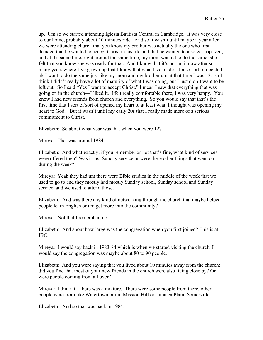up. Um so we started attending Iglesia Bautista Central in Cambridge. It was very close to our home, probably about 10 minutes ride. And so it wasn't until maybe a year after we were attending church that you know my brother was actually the one who first decided that he wanted to accept Christ in his life and that he wanted to also get baptized, and at the same time, right around the same time, my mom wanted to do the same; she felt that you know she was ready for that. And I know that it's not until now after so many years where I've grown up that I know that what I've made—I also sort of decided ok I want to do the same just like my mom and my brother um at that time I was 12. so I think I didn't really have a lot of maturity of what I was doing, but I just didn't want to be left out. So I said "Yes I want to accept Christ." I mean I saw that everything that was going on in the church—I liked it. I felt really comfortable there, I was very happy. You know I had new friends from church and everything. So you would say that that's the first time that I sort of sort of opened my heart to at least what I thought was opening my heart to God. But it wasn't until my early 20s that I really made more of a serious commitment to Christ.

Elizabeth: So about what year was that when you were 12?

Mireya: That was around 1984.

Elizabeth: And what exactly, if you remember or not that's fine, what kind of services were offered then? Was it just Sunday service or were there other things that went on during the week?

Mireya: Yeah they had um there were Bible studies in the middle of the week that we used to go to and they mostly had mostly Sunday school, Sunday school and Sunday service, and we used to attend those.

Elizabeth: And was there any kind of networking through the church that maybe helped people learn English or um get more into the community?

Mireya: Not that I remember, no.

Elizabeth: And about how large was the congregation when you first joined? This is at IBC.

Mireya: I would say back in 1983-84 which is when we started visiting the church, I would say the congregation was maybe about 80 to 90 people.

Elizabeth: And you were saying that you lived about 10 minutes away from the church; did you find that most of your new friends in the church were also living close by? Or were people coming from all over?

Mireya: I think it—there was a mixture. There were some people from there, other people were from like Watertown or um Mission Hill or Jamaica Plain, Somerville.

Elizabeth: And so that was back in 1984.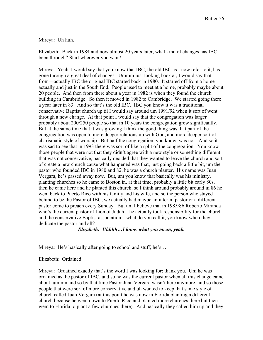#### Mireya: Uh huh.

Elizabeth: Back in 1984 and now almost 20 years later, what kind of changes has IBC been through? Start wherever you want!

Mireya: Yeah, I would say that you know that IBC, the old IBC as I now refer to it, has gone through a great deal of changes. Ummm just looking back at, I would say that from—actually IBC the original IBC started back in 1980. It started off from a home actually and just in the South End. People used to meet at a home, probably maybe about 20 people. And then from there about a year in 1982 is when they found the church building in Cambridge. So then it moved in 1982 to Cambridge. We started going there a year later in 83. And so that's the old IBC. IBC you know it was a traditional conservative Baptist church up til I would say around um 1991/92 when it sort of went through a new change. At that point I would say that the congregation was larger probably about 200/250 people so that in 10 years the congregation grew significantly. But at the same time that it was growing I think the good thing was that part of the congregation was open to more deeper relationship with God, and more deeper sort of charismatic style of worship. But half the congregation, you know, was not. And so it was sad to see that in 1993 there was sort of like a split of the congregation. You know those people that were not that they didn't agree with a new style or something different that was not conservative, basically decided that they wanted to leave the church and sort of create a new church cause what happened was that, just going back a little bit, um the pastor who founded IBC in 1980 and 82, he was a church planter. His name was Juan Vergara, he's passed away now. But, um you know that basically was his ministry, planting churches so he came to Boston in, at that time, probably a little bit early 80s, then he came here and he planted this church, so I think around probably around in 86 he went back to Puerto Rico with his family and his wife, and so the person who stayed behind to be the Pastor of IBC, we actually had maybe an interim pastor or a different pastor come to preach every Sunday. But um I believe that in 1985/86 Roberto Miranda who's the current pastor of Lion of Judah—he actually took responsibility for the church and the conservative Baptist association—what do you call it, you know when they dedicate the pastor and all?

#### *Elizabeth: Uhhhh…I know what you mean, yeah.*

Mireya: He's basically after going to school and stuff, he's…

Elizabeth: Ordained

Mireya: Ordained exactly that's the word I was looking for; thank you. Um he was ordained as the pastor of IBC, and so he was the current pastor when all this change came about, ummm and so by that time Pastor Juan Vergara wasn't here anymore, and so those people that were sort of more conservative and uh wanted to keep that same style of church called Juan Vergara (at this point he was now in Florida planting a different church because he went down to Puerto Rico and planted more churches there but then went to Florida to plant a few churches there). And basically they called him up and they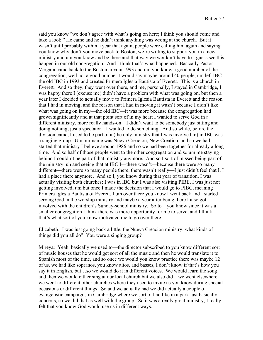said you know "we don't agree with what's going on here; I think you should come and take a look." He came and he didn't think anything was wrong at the church. But it wasn't until probably within a year that again, people were calling him again and saying you know why don't you move back to Boston, we're willing to support you in a new ministry and um you know and be there and that way we wouldn't have to I guess see this happen in our old congregation. And I think that's what happened. Basically Pastor Vergara came back to the Boston area in 1993 and um you know a good number of the congregation, well not a good number I would say maybe around 40 people, um left IBC the old IBC in 1993 and created Primera Iglesia Bautista of Everett. This is a church in Everett. And so they, they went over there, and me, personally, I stayed in Cambridge, I was happy there I (excuse me) didn't have a problem with what was going on, but then a year later I decided to actually move to Primera Iglesia Bautista in Everett and the reason that I had in moving, and the reason that I had in moving it wasn't because I didn't like what was going on in my—the old IBC—it was more because the congregation had grown significantly and at that point sort of in my heart I wanted to serve God in a different ministry, more really hands-on—I didn't want to be somebody just sitting and doing nothing, just a spectator—I wanted to do something. And so while, before the division came, I used to be part of a (the only ministry that I was involved in) in IBC was a singing group. Um our name was Nueva Creacion, New Creation, and so we had started that ministry I believe around 1986 and so we had been together for already a long time. And so half of those people went to the other congregation and so um me staying behind I couldn't be part of that ministry anymore. And so I sort of missed being part of the ministry, uh and seeing that at IBC I—there wasn't—because there were so many different—there were so many people there, there wasn't really—I just didn't feel that I, I had a place there anymore. And so I, you know during that year of transition, I was actually visiting both churches; I was in IBC but I was also visiting PIBE, I was just not getting involved, um but once I made the decision that I would go to PIBC, meaning Primera Iglesia Bautista of Everett, I um over there you know I went back and I started serving God in the worship ministry and maybe a year after being there I also got involved with the children's Sunday-school ministry. So to—you know since it was a smaller congregation I think there was more opportunity for me to serve, and I think that's what sort of you know motivated me to go over there.

Elizabeth: I was just going back a little, the Nueva Creacion ministry: what kinds of things did you all do? You were a singing group?

Mireya: Yeah, basically we used to—the director subscribed to you know different sort of music houses that he would get sort of all the music and then he would translate it to Spanish most of the time, and so once we would you know practice there was maybe 12 of us, we had like sopranos, you know altos, and basses, I don't know if that's how you say it in English, but…so we would do it in different voices. We would learn the song and then we would either sing at our local church but we also did—we went elsewhere, we went to different other churches where they used to invite us you know during special occasions or different things. So and we actually had we did actually a couple of evangelistic campaigns in Cambridge where we sort of had like in a park just basically concerts, so we did that as well with the group. So it was a really great ministry; I really felt that you know God would use us in different ways.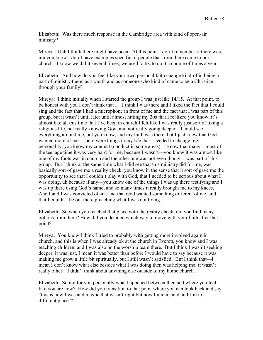Elizabeth: Was there much response in the Cambridge area with kind of open-air ministry?

Mireya: Uhh I think there might have been. At this point I don't remember if there were um you know I don't have examples specific of people that from there came to our church. I know we did it several times; we used to try to do it a couple of times a year.

Elizabeth: And how do you feel like your own personal faith change kind-of in being a part of ministry there, as a youth and as someone who kind of came to be a Christian through your family?

Mireya: I think initially when I started the group I was just like 14/15. At that point, to be honest with you I don't think that I—I think I was there and I liked the fact that I could sing and the fact that I had a microphone in front of me and the fact that I was part of this group, but it wasn't until later until almost hitting my 20s that I realized you know, it's almost like all this time that I've been in church I felt like I was really just sort of living a religious life, not really knowing God, and not really going deeper—I could see everything around me, but you know, and my faith was there, but I just knew that God wanted more of me. There were things in my life that I needed to change: my personality, you know my conduct (conduct in some areas). I know that many—most of the teenage time it was very hard for me, because I wasn't—you know it was almost like one of my foots was in church and the other one was not even though I was part of this group. But I think at the same time what I did see that this ministry did for me, was basically sort of gave me a reality check, you know in the sense that it sort of gave me the opportunity to see that I couldn't play with God, that I needed to be serious about what I was doing, uh because if any—you know one of the things I was up there testifying and I was up there using God's name, and so many times it really brought me to my knees. And I and I was convicted of sin, and that God wanted something different of me, and that I couldn't be out there preaching what I was not living.

Elizabeth: So when you reached that place with the reality check, did you find many options from there? How did you decided which way to move with your faith after that point?

Mireya: You know I think I tried to probably with getting more involved again in church, and this is when I was already ok at the church in Everett, you know and I was teaching children, and I was also on the worship team there. But I think I wasn't seeking deeper, it was just, I mean it was better than before I would have to say because it was making me grow a little bit spiritually, but I still wasn't satisfied. But I think that—I mean I don't know what else besides what I was doing then was helping me; it wasn't really other—I didn't think about anything else outside of my home church.

Elizabeth: So um for you personally what happened between then and where you feel like you are now? How did you transition to that point where you can look back and say "this is how I was and maybe that wasn't right but now I understand and I'm to a different place"?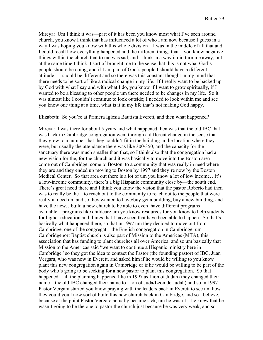Mireya: Um I think it was—part of it has been you know most what I've seen around church, you know I think that has influenced a lot of who I am now because I guess in a way I was hoping you know with this whole division—I was in the middle of all that and I could recall how everything happened and the different things that—you know negative things within the church that to me was sad, and I think in a way it did turn me away, but at the same time I think it sort of brought me to the sense that this is not what God's people should be doing, and if I am part of God's people I should have a different attitude—I should be different and so there was this constant thought in my mind that there needs to be sort of like a radical change in my life. If I really want to be backed up by God with what I say and with what I do, you know if I want to grow spiritually, if I wanted to be a blessing to other people um there needed to be changes in my life. So it was almost like I couldn't continue to look outside; I needed to look within me and see you know one thing at a time, what is it in my life that's not making God happy.

#### Elizabeth: So you're at Primera Iglesia Bautista Everett, and then what happened?

Mireya: I was there for about 5 years and what happened then was that the old IBC that was back in Cambridge congregation went through a different change in the sense that they grew to a number that they couldn't fit in the building in the location where they were, but usually the attendance there was like 300/350, and the capacity for the sanctuary there was much smaller than that, so I think also that the congregation had a new vision for the, for the church and it was basically to move into the Boston area come out of Cambridge, come to Boston, to a community that was really in need where they are and they ended up moving to Boston by 1997 and they're now by the Boston Medical Center. So that area out there is a lot of um you know a lot of low income…it's a low-income community, there's a big Hispanic community close by—the south end. There's great need there and I think you know the vision that the pastor Roberto had then was to really be the—to reach out to the community to reach out to the people that were really in need um and so they wanted to have/buy get a building, buy a new building, and have the new...build a new church to be able to even have different programs available—programs like childcare um you know resources for you know to help students for higher education and things that I have seen that have been able to happen. So that's basically what happened there, so that in 1997 um they decided to move out from Cambridge, one of the congregat—the English congregation in Cambridge, um Cambridgeport Baptist church is also part of Mission to the Americas (MTA), this association that has funding to plant churches all over America, and so um basically that Mission to the Americas said "we want to continue a Hispanic ministry here in Cambridge" so they got the idea to contact the Pastor (the founding pastor) of IBC, Juan Vergara, who was now in Everett, and asked him if he would be willing to you know plant this new congregation again in Cambridge or if he would be willing to be part of the body who's going to be seeking for a new pastor to plant this congregation. So that happened—all the planning happened like in 1997 as Lion of Judah (they changed their name—the old IBC changed their name to Lion of Juda/Leon de Judah) and so in 1997 Pastor Vergara started you know praying with the leaders back in Everett to see um how they could you know sort of build this new church back in Cambridge, and so I believe, because at the point Pastor Vergara actually became sick, um he wasn't—he knew that he wasn't going to be the one to pastor the church just because he was very weak, and so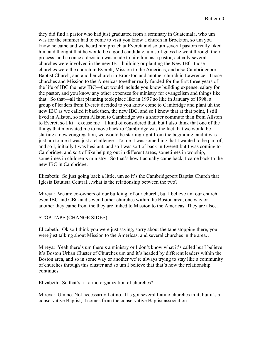they did find a pastor who had just graduated from a seminary in Guatemala, who um was for the summer had to come to visit you know a church in Brockton, so um you know he came and we heard him preach at Everett and so um several pastors really liked him and thought that he would be a good candidate, um so I guess he went through their process, and so once a decision was made to hire him as a pastor, actually several churches were involved in the new IB—building or planting the New IBC, those churches were the church in Everett, Mission to the Americas, and also Cambridgeport Baptist Church, and another church in Brockton and another church in Lawrence. Those churches and Mission to the Americas together really funded for the first three years of the life of IBC the new IBC—that would include you know building expense, salary for the pastor, and you know any other expenses for ministry for evangelism and things like that. So that—all that planning took place like in 1997 so like in January of 1998, a group of leaders from Everett decided to you know come to Cambridge and plant uh the new IBC as we called it back then, the new IBC, and so I know that at that point, I still lived in Allston, so from Allston to Cambridge was a shorter commute than from Allston to Everett so I ki—excuse me—I kind of considered that, but I also think that one of the things that motivated me to move back to Cambridge was the fact that we would be starting a new congregation, we would be starting right from the beginning; and it was just um to me it was just a challenge. To me it was something that I wanted to be part of, and so I, initially I was hesitant, and so I was sort of back in Everett but I was coming to Cambridge, and sort of like helping out in different areas, sometimes in worship, sometimes in children's ministry. So that's how I actually came back, I came back to the new IBC in Cambridge.

Elizabeth: So just going back a little, um so it's the Cambridgeport Baptist Church that Iglesia Bautista Central…what is the relationship between the two?

Mireya: We are co-owners of our building, of our church, but I believe um our church even IBC and CBC and several other churches within the Boston area, one way or another they came from the they are linked to Mission to the Americas. They are also…

#### STOP TAPE (CHANGE SIDES)

Elizabeth: Ok so I think you were just saying, sorry about the tape stopping there, you were just talking about Mission to the Americas, and several churches in the area…

Mireya: Yeah there's um there's a ministry or I don't know what it's called but I believe it's Boston Urban Cluster of Churches um and it's headed by different leaders within the Boston area, and so in some way or another we're always trying to stay like a community of churches through this cluster and so um I believe that that's how the relationship continues.

Elizabeth: So that's a Latino organization of churches?

Mireya: Um no. Not necessarily Latino. It's got several Latino churches in it; but it's a conservative Baptist, it comes from the conservative Baptist association.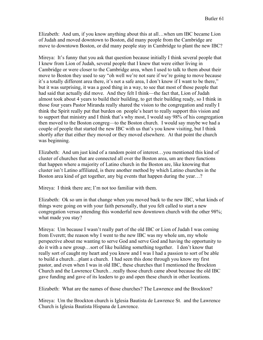Elizabeth: And um, if you know anything about this at all…when um IBC became Lion of Judah and moved downtown to Boston, did many people from the Cambridge are move to downtown Boston, or did many people stay in Cambridge to plant the new IBC?

Mireya: It's funny that you ask that question because initially I think several people that I knew from Lion of Judah, several people that I knew that were either living in Cambridge or were closer to the Cambridge area, when I used to talk to them about their move to Boston they used to say "oh well we're not sure if we're going to move because it's a totally different area there, it's not a safe area, I don't know if I want to be there," but it was surprising, it was a good thing in a way, to see that most of those people that had said that actually did move. And they felt I think—the fact that, Lion of Judah almost took about 4 years to build their building, to get their building ready, so I think in those four years Pastor Miranda really shared the vision to the congregation and really I think the Spirit really put that burden on people's heart to really support this vision and to support that ministry and I think that's why most, I would say 98% of his congregation then moved to the Boston congreg—to the Boston church. I would say maybe we had a couple of people that started the new IBC with us that's you know visiting, but I think shortly after that either they moved or they moved elsewhere. At that point the church was beginning.

Elizabeth: And um just kind of a random point of interest…you mentioned this kind of cluster of churches that are connected all over the Boston area, um are there functions that happen where a majority of Latino church in the Boston are, like knowing that cluster isn't Latino affiliated, is there another method by which Latino churches in the Boston area kind of get together, any big events that happen during the year…?

Mireya: I think there are; I'm not too familiar with them.

Elizabeth: Ok so um in that change when you moved back to the new IBC, what kinds of things were going on with your faith personally, that you felt called to start a new congregation versus attending this wonderful new downtown church with the other 98%; what made you stay?

Mireya: Um because I wasn't really part of the old IBC or Lion of Judah I was coming from Everett; the reason why I went to the new IBC was my whole um, my whole perspective about me wanting to serve God and serve God and having the opportunity to do it with a new group…sort of like building something together. I don't know that really sort of caught my heart and you know and I was I had a passion to sort of be able to build a church…plant a church. I had seen this done through you know my first pastor, and even when I was in old IBC, these churches that I mentioned the Brockton Church and the Lawrence Church…really those church came about because the old IBC gave funding and gave of its leaders to go and open these church in other locations.

Elizabeth: What are the names of those churches? The Lawrence and the Brockton?

Mireya: Um the Brockton church is Iglesia Bautista de Lawrence St. and the Lawrence Church is Iglesia Bautista Hispana de Lawrence.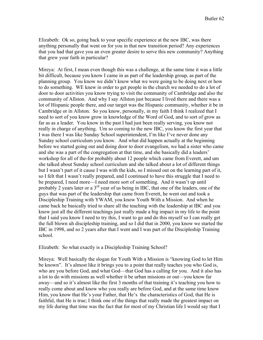Elizabeth: Ok so, going back to your specific experience at the new IBC, was there anything personally that went on for you in that new transition period? Any experiences that you had that gave you an even greater desire to serve this new community? Anything that grew your faith in particular?

Mireya: At first, I mean even though this was a challenge, at the same time it was a little bit difficult, because you know I came in as part of the leadership group, as part of the planning group. You know we didn't know what we were going to be doing next or how to do something. WE knew in order to get people in the church we needed to do a lot of door to door activities you know trying to visit the community of Cambridge and also the community of Allston. And why I say Allston just because I lived there and there was a lot of Hispanic people there, and our target was the Hispanic community, whether it be in Cambridge or in Allston. So you know, personally, in my faith I think I realized that I need to sort of you know grow in knowledge of the Word of God, and to sort of grow as far as as a leader. You know in the past I had just been really serving, you know not really in charge of anything. Um so coming to the new IBC, you know the first year that I was there I was like Sunday School superintendent, I'm like I've never done any Sunday school curriculum you know. And what did happen actually at the beginning before we started going out and doing door to door evangelism, we had a sister who came and she was a part of the congregation at that time, and she basically did a leaders' workshop for all of the-for probably about 12 people which came from Everett, and um she talked about Sunday school curriculum and she talked about a lot of different things but I wasn't part of it cause I was with the kids, so I missed out on the learning part of it, so I felt that I wasn't really prepared, and I continued to have this struggle that I need to be prepared, I need more—I need more sort of something. And it wasn't up until probably 2 years later or a 3<sup>rd</sup> year of us being in IBC, that one of the leaders, one of the guys that was part of the leadership that came from Everett, he went out and took a Discipleship Training with YWAM, you know Youth With a Mission. And when he came back he basically tried to share all the teaching with the leadership at IBC and you know just all the different teachings just really made a big impact in my life to the point that I said you know I need to try this, I want to go and do this myself so I can really get the full blown uh discipleship training, and so I did that in 2000, you know we started the IBC in 1998, and so 2 years after that I went and I was part of the Discipleship Training school.

Elizabeth: So what exactly is a Discipleship Training School?

Mireya: Well basically the slogan for Youth With a Mission is "knowing God to let Him be known". It's almost like it brings you to a point that really teaches you who God is, who are you before God, and what God—that God has a calling for you. And it also has a lot to do with missions as well whether it be urban missions or out—you know far away—and so it's almost like the first 3 months of that training it's teaching you how to really come about and know who you really are before God, and at the same time know Him, you know that He's your Father, that He's the characteristics of God, that He is faithful, that He is true; I think one of the things that really made the greatest impact on my life during that time was the fact that for most of my Christian life I would say that I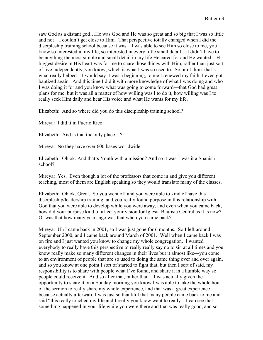saw God as a distant god…He was God and He was so great and so big that I was so little and not—I couldn't get close to Him. That perspective totally changed when I did the discipleship training school because it was—I was able to see Him so close to me, you know so interested in my life, so interested in every little small detail…it didn't have to be anything the most simple and small detail in my life He cared for and He wanted—His biggest desire in His heart was for me to share those things with Him, rather than just sort of live independently, you know, which is what I was so used to. So um I think that's what really helped—I would say it was a beginning, to me I renewed my faith, I even got baptized again. And this time I did it with more knowledge of what I was doing and who I was doing it for and you know what was going to come forward—that God had great plans for me, but it was all a matter of how willing was I to do it, how willing was I to really seek Him daily and hear His voice and what He wants for my life.

Elizabeth: And so where did you do this discipleship training school?

Mireya: I did it in Puerto Rico.

Elizabeth: And is that the only place…?

Mireya: No they have over 600 bases worldwide.

Elizabeth: Oh ok. And that's Youth with a mission? And so it was—was it a Spanish school?

Mireya: Yes. Even though a lot of the professors that come in and give you different teaching, most of them are English speaking so they would translate many of the classes.

Elizabeth: Oh ok. Great. So you went off and you were able to kind of have this discipleship/leadership training, and you really found purpose in this relationship with God that you were able to develop while you were away, and even when you came back, how did your purpose kind of affect your vision for Iglesia Bautista Central as it is now? Or was that how many years ago was that when you came back?

Mireya: Uh I came back in 2001, so I was just gone for 6 months. So I left around September 2000, and I came back around March of 2001. Well when I came back I was on fire and I just wanted you know to change my whole congregation. I wanted everybody to really have this perspective to really really say no to sin at all times and you know really make so many different changes in their lives but it almost like—you come to an environment of people that are so used to doing the same thing over and over again, and so you know at one point I sort of started to fight that, but then I sort of said, my responsibility is to share with people what I've found, and share it in a humble way so people could receive it. And so after that, rather than—I was actually given the opportunity to share it on a Sunday morning you know I was able to take the whole hour of the sermon to really share my whole experience, and that was a great experience because actually afterward I was just so thankful that many people came back to me and said "this really touched my life and I really you know want to really—I can see that something happened in your life while you were there and that was really good, and so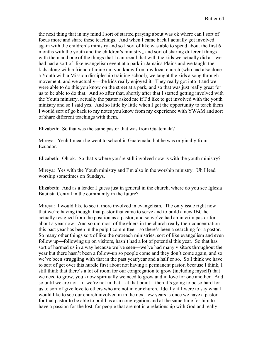the next thing that in my mind I sort of started praying about was ok where can I sort of focus more and share these teachings. And when I came back I actually got involved again with the children's ministry and so I sort of like was able to spend about the first 6 months with the youth and the children's ministry,, and sort of sharing different things with them and one of the things that I can recall that with the kids we actually did a—we had had a sort of like evangelism event at a park in Jamaica Plains and we taught the kids along with a friend of mine um you know from my local church (who had also done a Youth with a Mission discipleship training school), we taught the kids a song through movement, and we actually—the kids really enjoyed it. They really got into it and we were able to do this you know on the street at a park, and so that was just really great for us to be able to do that. And so after that, shortly after that I started getting involved with the Youth ministry, actually the pastor asked me if I'd like to get involved with the youth ministry and so I said yes. And so little by little when I got the opportunity to teach them I would sort of go back to my notes you know from my experience with YWAM and sort of share different teachings with them.

Elizabeth: So that was the same pastor that was from Guatemala?

Mireya: Yeah I mean he went to school in Guatemala, but he was originally from Ecuador.

Elizabeth: Oh ok. So that's where you're still involved now is with the youth ministry?

Mireya: Yes with the Youth ministry and I'm also in the worship ministry. Uh I lead worship sometimes on Sundays.

Elizabeth: And as a leader I guess just in general in the church, where do you see Iglesia Bautista Central in the community in the future?

Mireya: I would like to see it more involved in evangelism. The only issue right now that we're having though, that pastor that came to serve and to build a new IBC he actually resigned from the position as a pastor, and so we've had an interim pastor for about a year now. And so um most of the elders in the church really their concentration this past year has been in the pulpit committee—so there's been a searching for a pastor. So many other things sort of like the outreach ministries, sort of like evangelism and even follow up—following up on visitors, hasn't had a lot of potential this year. So that has sort of harmed us in a way because we've seen—we've had many visitors throughout the year but there hasn't been a follow-up so people come and they don't come again, and so we've been struggling with that in the past year/year and a half or so. So I think we have to sort of get over this hurdle first about not having a permanent pastor, because I think, I still think that there's a lot of room for our congregation to grow (including myself) that we need to grow, you know spiritually we need to grow and in love for one another. And so until we are not—if we're not in that—at that point—then it's going to be so hard for us to sort of give love to others who are not in our church. Ideally if I were to say what I would like to see our church involved in in the next few years is once we have a pastor for that pastor to be able to build us as a congregation and at the same time for him to have a passion for the lost, for people that are not in a relationship with God and really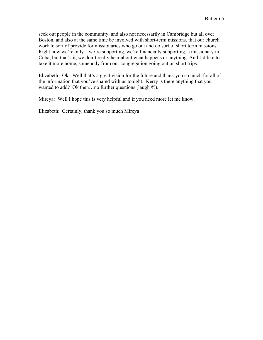seek out people in the community, and also not necessarily in Cambridge but all over Boston, and also at the same time be involved with short-term missions, that our church work to sort of provide for missionaries who go out and do sort of short term missions. Right now we're only—we're supporting, we're financially supporting, a missionary in Cuba, but that's it, we don't really hear about what happens or anything. And I'd like to take it more home, somebody from our congregation going out on short trips.

Elizabeth: Ok. Well that's a great vision for the future and thank you so much for all of the information that you've shared with us tonight. Kerry is there anything that you wanted to add? Ok then...no further questions (laugh  $\odot$ ).

Mireya: Well I hope this is very helpful and if you need more let me know.

Elizabeth: Certainly, thank you so much Mireya!